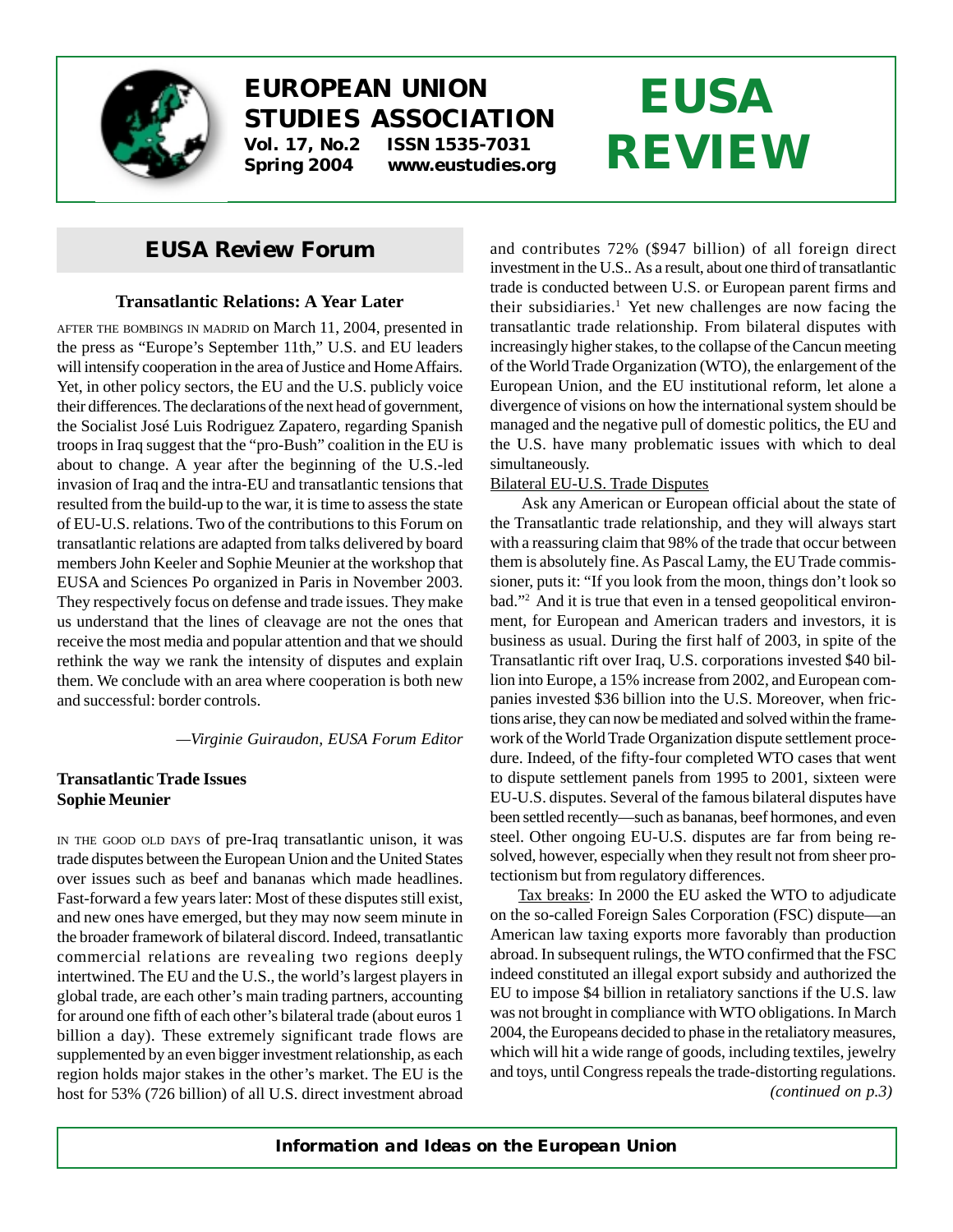

### **EUROPEAN UNION STUDIES ASSOCIATION Vol. 17, No.2 ISSN 1535-7031**

**Spring 2004 www.eustudies.org**

# **EUSA REVIEW**

### *EUSA Review* **Forum**

#### **Transatlantic Relations: A Year Later**

AFTER THE BOMBINGS IN MADRID on March 11, 2004, presented in the press as "Europe's September 11th," U.S. and EU leaders will intensify cooperation in the area of Justice and Home Affairs. Yet, in other policy sectors, the EU and the U.S. publicly voice their differences. The declarations of the next head of government, the Socialist José Luis Rodriguez Zapatero, regarding Spanish troops in Iraq suggest that the "pro-Bush" coalition in the EU is about to change. A year after the beginning of the U.S.-led invasion of Iraq and the intra-EU and transatlantic tensions that resulted from the build-up to the war, it is time to assess the state of EU-U.S. relations. Two of the contributions to this Forum on transatlantic relations are adapted from talks delivered by board members John Keeler and Sophie Meunier at the workshop that EUSA and Sciences Po organized in Paris in November 2003. They respectively focus on defense and trade issues. They make us understand that the lines of cleavage are not the ones that receive the most media and popular attention and that we should rethink the way we rank the intensity of disputes and explain them. We conclude with an area where cooperation is both new and successful: border controls.

*—Virginie Guiraudon, EUSA Forum Editor*

#### **Transatlantic Trade Issues Sophie Meunier**

IN THE GOOD OLD DAYS of pre-Iraq transatlantic unison, it was trade disputes between the European Union and the United States over issues such as beef and bananas which made headlines. Fast-forward a few years later: Most of these disputes still exist, and new ones have emerged, but they may now seem minute in the broader framework of bilateral discord. Indeed, transatlantic commercial relations are revealing two regions deeply intertwined. The EU and the U.S., the world's largest players in global trade, are each other's main trading partners, accounting for around one fifth of each other's bilateral trade (about euros 1 billion a day). These extremely significant trade flows are supplemented by an even bigger investment relationship, as each region holds major stakes in the other's market. The EU is the host for 53% (726 billion) of all U.S. direct investment abroad and contributes 72% (\$947 billion) of all foreign direct investment in the U.S.. As a result, about one third of transatlantic trade is conducted between U.S. or European parent firms and their subsidiaries.<sup>1</sup> Yet new challenges are now facing the transatlantic trade relationship. From bilateral disputes with increasingly higher stakes, to the collapse of the Cancun meeting of the World Trade Organization (WTO), the enlargement of the European Union, and the EU institutional reform, let alone a divergence of visions on how the international system should be managed and the negative pull of domestic politics, the EU and the U.S. have many problematic issues with which to deal simultaneously.

#### Bilateral EU-U.S. Trade Disputes

Ask any American or European official about the state of the Transatlantic trade relationship, and they will always start with a reassuring claim that 98% of the trade that occur between them is absolutely fine. As Pascal Lamy, the EU Trade commissioner, puts it: "If you look from the moon, things don't look so bad."2 And it is true that even in a tensed geopolitical environment, for European and American traders and investors, it is business as usual. During the first half of 2003, in spite of the Transatlantic rift over Iraq, U.S. corporations invested \$40 billion into Europe, a 15% increase from 2002, and European companies invested \$36 billion into the U.S. Moreover, when frictions arise, they can now be mediated and solved within the framework of the World Trade Organization dispute settlement procedure. Indeed, of the fifty-four completed WTO cases that went to dispute settlement panels from 1995 to 2001, sixteen were EU-U.S. disputes. Several of the famous bilateral disputes have been settled recently—such as bananas, beef hormones, and even steel. Other ongoing EU-U.S. disputes are far from being resolved, however, especially when they result not from sheer protectionism but from regulatory differences.

Tax breaks: In 2000 the EU asked the WTO to adjudicate on the so-called Foreign Sales Corporation (FSC) dispute—an American law taxing exports more favorably than production abroad. In subsequent rulings, the WTO confirmed that the FSC indeed constituted an illegal export subsidy and authorized the EU to impose \$4 billion in retaliatory sanctions if the U.S. law was not brought in compliance with WTO obligations. In March 2004, the Europeans decided to phase in the retaliatory measures, which will hit a wide range of goods, including textiles, jewelry and toys, until Congress repeals the trade-distorting regulations. *(continued on p.3)*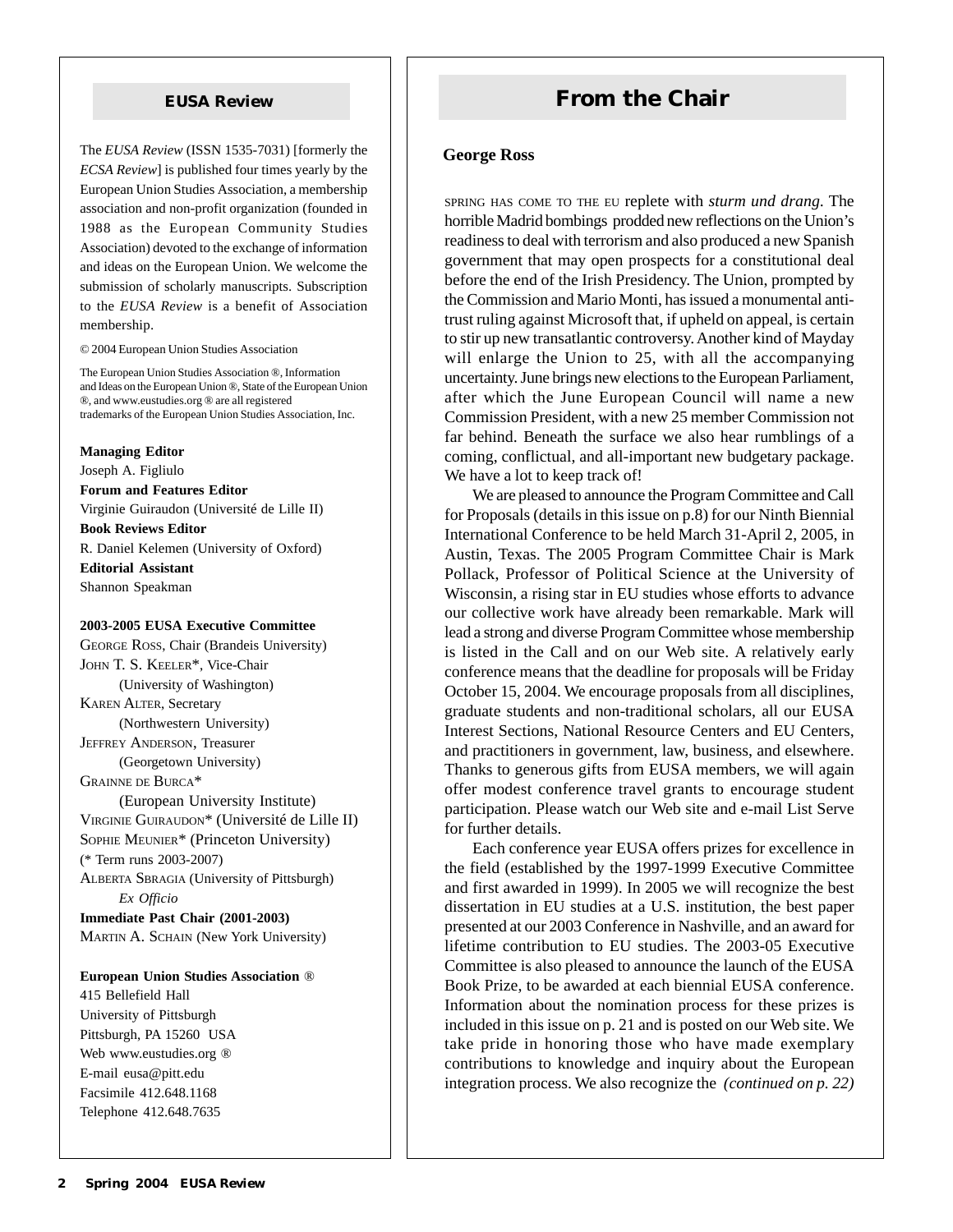The *EUSA Review* (ISSN 1535-7031) [formerly the *ECSA Review*] is published four times yearly by the European Union Studies Association, a membership association and non-profit organization (founded in 1988 as the European Community Studies Association) devoted to the exchange of information and ideas on the European Union. We welcome the submission of scholarly manuscripts. Subscription to the *EUSA Review* is a benefit of Association membership.

© 2004 European Union Studies Association

The European Union Studies Association ®, Information and Ideas on the European Union ®, State of the European Union ®, and www.eustudies.org ® are all registered trademarks of the European Union Studies Association, Inc.

**Managing Editor** Joseph A. Figliulo **Forum and Features Editor** Virginie Guiraudon (Université de Lille II) **Book Reviews Editor** R. Daniel Kelemen (University of Oxford) **Editorial Assistant** Shannon Speakman

#### **2003-2005 EUSA Executive Committee**

GEORGE ROSS, Chair (Brandeis University) JOHN T. S. KEELER\*, Vice-Chair (University of Washington) KAREN ALTER, Secretary (Northwestern University) JEFFREY ANDERSON, Treasurer (Georgetown University) GRAINNE DE BURCA\* (European University Institute) VIRGINIE GUIRAUDON\* (Université de Lille II) SOPHIE MEUNIER\* (Princeton University)

(\* Term runs 2003-2007)

ALBERTA SBRAGIA (University of Pittsburgh) *Ex Officio*

**Immediate Past Chair (2001-2003)** MARTIN A. SCHAIN (New York University)

#### **European Union Studies Association** ®

415 Bellefield Hall University of Pittsburgh Pittsburgh, PA 15260 USA Web www.eustudies.org ® E-mail eusa@pitt.edu Facsimile 412.648.1168 Telephone 412.648.7635

### **EUSA Review <b>From the Chair**

#### **George Ross**

SPRING HAS COME TO THE EU replete with *sturm und drang*. The horrible Madrid bombings prodded new reflections on the Union's readiness to deal with terrorism and also produced a new Spanish government that may open prospects for a constitutional deal before the end of the Irish Presidency. The Union, prompted by the Commission and Mario Monti, has issued a monumental antitrust ruling against Microsoft that, if upheld on appeal, is certain to stir up new transatlantic controversy. Another kind of Mayday will enlarge the Union to 25, with all the accompanying uncertainty. June brings new elections to the European Parliament, after which the June European Council will name a new Commission President, with a new 25 member Commission not far behind. Beneath the surface we also hear rumblings of a coming, conflictual, and all-important new budgetary package. We have a lot to keep track of!

We are pleased to announce the Program Committee and Call for Proposals (details in this issue on p.8) for our Ninth Biennial International Conference to be held March 31-April 2, 2005, in Austin, Texas. The 2005 Program Committee Chair is Mark Pollack, Professor of Political Science at the University of Wisconsin, a rising star in EU studies whose efforts to advance our collective work have already been remarkable. Mark will lead a strong and diverse Program Committee whose membership is listed in the Call and on our Web site. A relatively early conference means that the deadline for proposals will be Friday October 15, 2004. We encourage proposals from all disciplines, graduate students and non-traditional scholars, all our EUSA Interest Sections, National Resource Centers and EU Centers, and practitioners in government, law, business, and elsewhere. Thanks to generous gifts from EUSA members, we will again offer modest conference travel grants to encourage student participation. Please watch our Web site and e-mail List Serve for further details.

Each conference year EUSA offers prizes for excellence in the field (established by the 1997-1999 Executive Committee and first awarded in 1999). In 2005 we will recognize the best dissertation in EU studies at a U.S. institution, the best paper presented at our 2003 Conference in Nashville, and an award for lifetime contribution to EU studies. The 2003-05 Executive Committee is also pleased to announce the launch of the EUSA Book Prize, to be awarded at each biennial EUSA conference. Information about the nomination process for these prizes is included in this issue on p. 21 and is posted on our Web site. We take pride in honoring those who have made exemplary contributions to knowledge and inquiry about the European integration process. We also recognize the *(continued on p. 22)*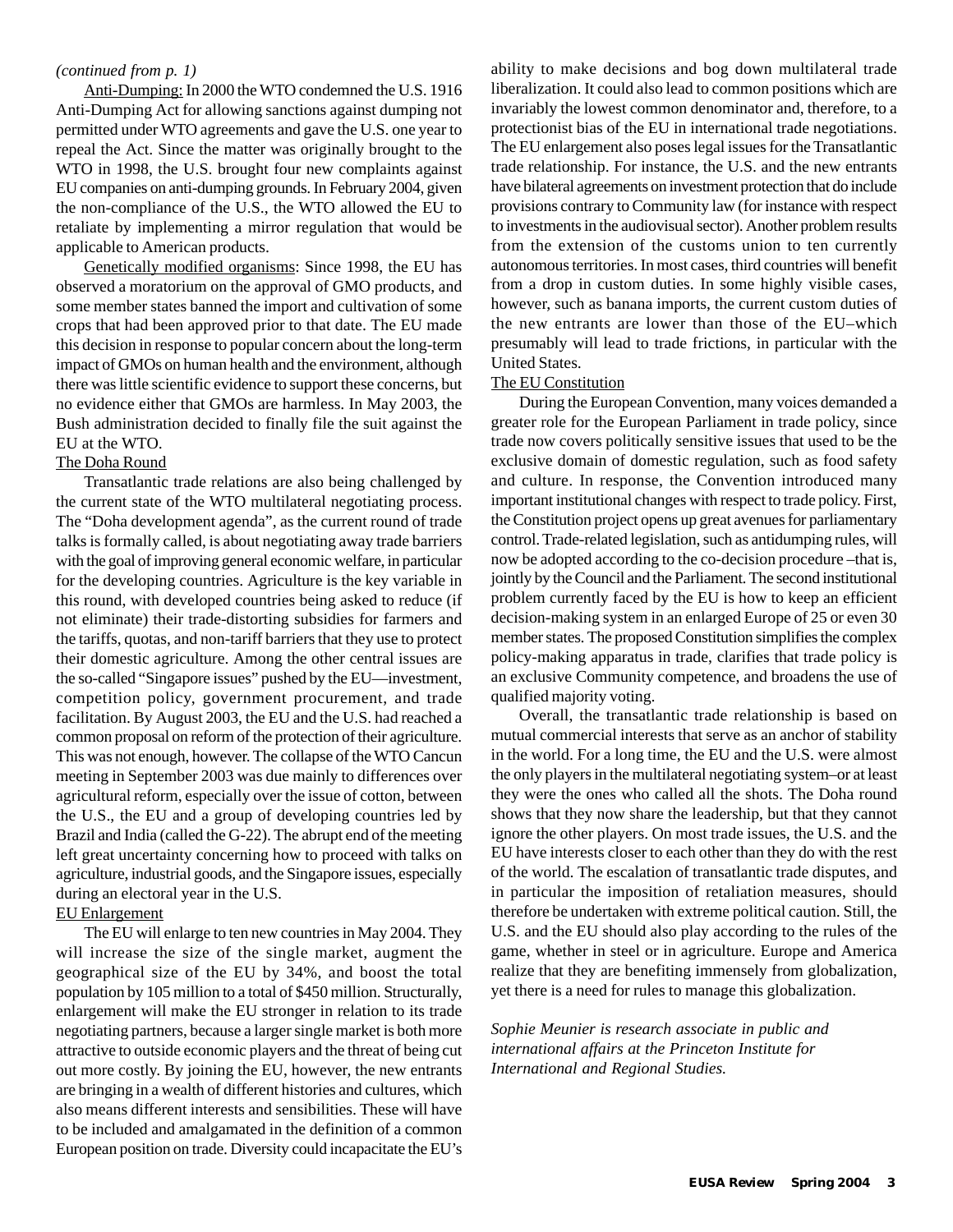#### *(continued from p. 1)*

Anti-Dumping: In 2000 the WTO condemned the U.S. 1916 Anti-Dumping Act for allowing sanctions against dumping not permitted under WTO agreements and gave the U.S. one year to repeal the Act. Since the matter was originally brought to the WTO in 1998, the U.S. brought four new complaints against EU companies on anti-dumping grounds. In February 2004, given the non-compliance of the U.S., the WTO allowed the EU to retaliate by implementing a mirror regulation that would be applicable to American products.

Genetically modified organisms: Since 1998, the EU has observed a moratorium on the approval of GMO products, and some member states banned the import and cultivation of some crops that had been approved prior to that date. The EU made this decision in response to popular concern about the long-term impact of GMOs on human health and the environment, although there was little scientific evidence to support these concerns, but no evidence either that GMOs are harmless. In May 2003, the Bush administration decided to finally file the suit against the EU at the WTO.

#### The Doha Round

Transatlantic trade relations are also being challenged by the current state of the WTO multilateral negotiating process. The "Doha development agenda", as the current round of trade talks is formally called, is about negotiating away trade barriers with the goal of improving general economic welfare, in particular for the developing countries. Agriculture is the key variable in this round, with developed countries being asked to reduce (if not eliminate) their trade-distorting subsidies for farmers and the tariffs, quotas, and non-tariff barriers that they use to protect their domestic agriculture. Among the other central issues are the so-called "Singapore issues" pushed by the EU—investment, competition policy, government procurement, and trade facilitation. By August 2003, the EU and the U.S. had reached a common proposal on reform of the protection of their agriculture. This was not enough, however. The collapse of the WTO Cancun meeting in September 2003 was due mainly to differences over agricultural reform, especially over the issue of cotton, between the U.S., the EU and a group of developing countries led by Brazil and India (called the G-22). The abrupt end of the meeting left great uncertainty concerning how to proceed with talks on agriculture, industrial goods, and the Singapore issues, especially during an electoral year in the U.S.

#### EU Enlargement

The EU will enlarge to ten new countries in May 2004. They will increase the size of the single market, augment the geographical size of the EU by 34%, and boost the total population by 105 million to a total of \$450 million. Structurally, enlargement will make the EU stronger in relation to its trade negotiating partners, because a larger single market is both more attractive to outside economic players and the threat of being cut out more costly. By joining the EU, however, the new entrants are bringing in a wealth of different histories and cultures, which also means different interests and sensibilities. These will have to be included and amalgamated in the definition of a common European position on trade. Diversity could incapacitate the EU's

ability to make decisions and bog down multilateral trade liberalization. It could also lead to common positions which are invariably the lowest common denominator and, therefore, to a protectionist bias of the EU in international trade negotiations. The EU enlargement also poses legal issues for the Transatlantic trade relationship. For instance, the U.S. and the new entrants have bilateral agreements on investment protection that do include provisions contrary to Community law (for instance with respect to investments in the audiovisual sector). Another problem results from the extension of the customs union to ten currently autonomous territories. In most cases, third countries will benefit from a drop in custom duties. In some highly visible cases, however, such as banana imports, the current custom duties of the new entrants are lower than those of the EU–which presumably will lead to trade frictions, in particular with the United States.

#### The EU Constitution

During the European Convention, many voices demanded a greater role for the European Parliament in trade policy, since trade now covers politically sensitive issues that used to be the exclusive domain of domestic regulation, such as food safety and culture. In response, the Convention introduced many important institutional changes with respect to trade policy. First, the Constitution project opens up great avenues for parliamentary control. Trade-related legislation, such as antidumping rules, will now be adopted according to the co-decision procedure –that is, jointly by the Council and the Parliament. The second institutional problem currently faced by the EU is how to keep an efficient decision-making system in an enlarged Europe of 25 or even 30 member states. The proposed Constitution simplifies the complex policy-making apparatus in trade, clarifies that trade policy is an exclusive Community competence, and broadens the use of qualified majority voting.

Overall, the transatlantic trade relationship is based on mutual commercial interests that serve as an anchor of stability in the world. For a long time, the EU and the U.S. were almost the only players in the multilateral negotiating system–or at least they were the ones who called all the shots. The Doha round shows that they now share the leadership, but that they cannot ignore the other players. On most trade issues, the U.S. and the EU have interests closer to each other than they do with the rest of the world. The escalation of transatlantic trade disputes, and in particular the imposition of retaliation measures, should therefore be undertaken with extreme political caution. Still, the U.S. and the EU should also play according to the rules of the game, whether in steel or in agriculture. Europe and America realize that they are benefiting immensely from globalization, yet there is a need for rules to manage this globalization.

*Sophie Meunier is research associate in public and international affairs at the Princeton Institute for International and Regional Studies.*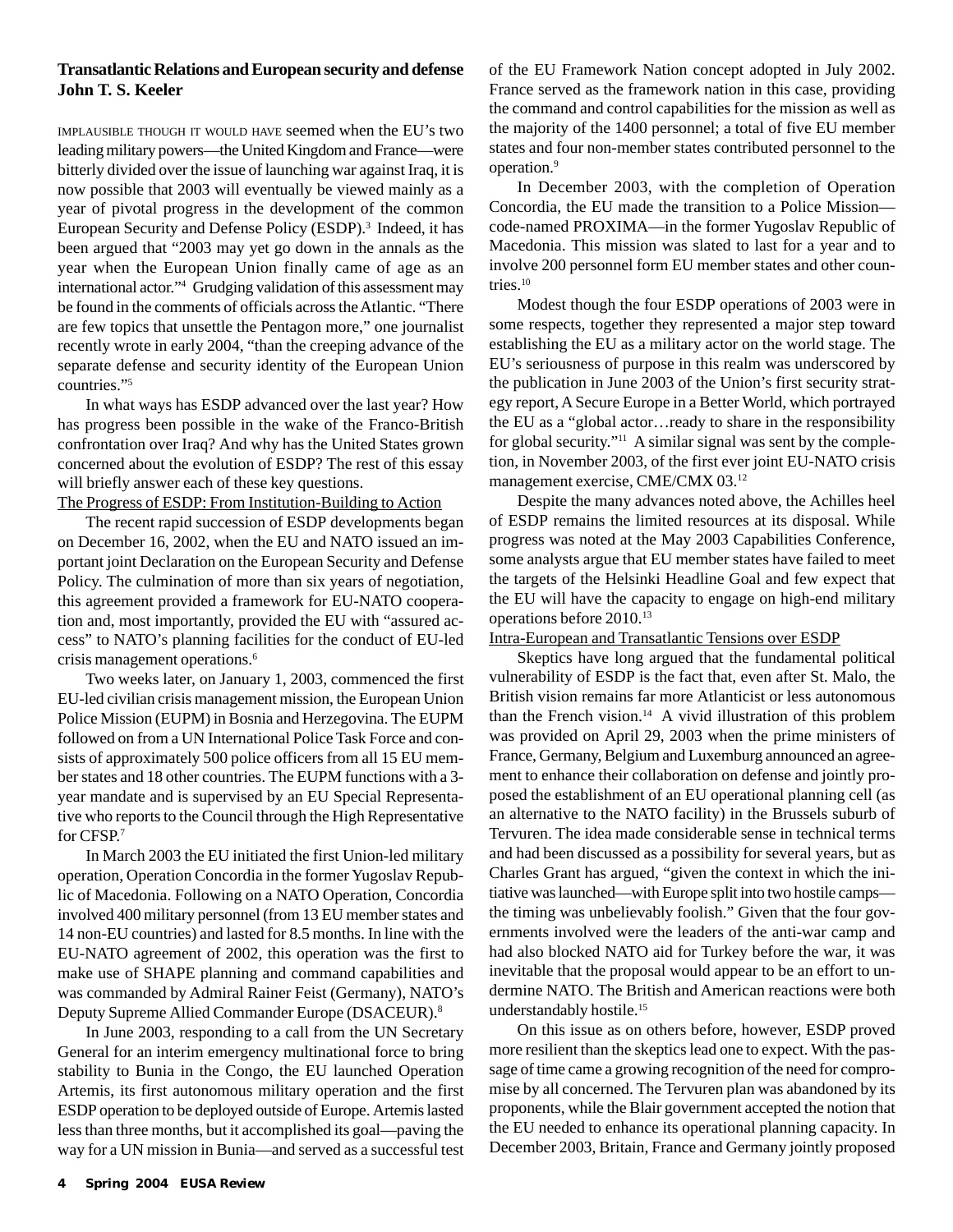#### **Transatlantic Relations and European security and defense John T. S. Keeler**

IMPLAUSIBLE THOUGH IT WOULD HAVE seemed when the EU's two leading military powers—the United Kingdom and France—were bitterly divided over the issue of launching war against Iraq, it is now possible that 2003 will eventually be viewed mainly as a year of pivotal progress in the development of the common European Security and Defense Policy (ESDP).<sup>3</sup> Indeed, it has been argued that "2003 may yet go down in the annals as the year when the European Union finally came of age as an international actor."4 Grudging validation of this assessment may be found in the comments of officials across the Atlantic. "There are few topics that unsettle the Pentagon more," one journalist recently wrote in early 2004, "than the creeping advance of the separate defense and security identity of the European Union countries."5

In what ways has ESDP advanced over the last year? How has progress been possible in the wake of the Franco-British confrontation over Iraq? And why has the United States grown concerned about the evolution of ESDP? The rest of this essay will briefly answer each of these key questions.

The Progress of ESDP: From Institution-Building to Action

The recent rapid succession of ESDP developments began on December 16, 2002, when the EU and NATO issued an important joint Declaration on the European Security and Defense Policy. The culmination of more than six years of negotiation, this agreement provided a framework for EU-NATO cooperation and, most importantly, provided the EU with "assured access" to NATO's planning facilities for the conduct of EU-led crisis management operations.<sup>6</sup>

Two weeks later, on January 1, 2003, commenced the first EU-led civilian crisis management mission, the European Union Police Mission (EUPM) in Bosnia and Herzegovina. The EUPM followed on from a UN International Police Task Force and consists of approximately 500 police officers from all 15 EU member states and 18 other countries. The EUPM functions with a 3 year mandate and is supervised by an EU Special Representative who reports to the Council through the High Representative for CFSP.7

In March 2003 the EU initiated the first Union-led military operation, Operation Concordia in the former Yugoslav Republic of Macedonia. Following on a NATO Operation, Concordia involved 400 military personnel (from 13 EU member states and 14 non-EU countries) and lasted for 8.5 months. In line with the EU-NATO agreement of 2002, this operation was the first to make use of SHAPE planning and command capabilities and was commanded by Admiral Rainer Feist (Germany), NATO's Deputy Supreme Allied Commander Europe (DSACEUR).8

In June 2003, responding to a call from the UN Secretary General for an interim emergency multinational force to bring stability to Bunia in the Congo, the EU launched Operation Artemis, its first autonomous military operation and the first ESDP operation to be deployed outside of Europe. Artemis lasted less than three months, but it accomplished its goal—paving the way for a UN mission in Bunia—and served as a successful test of the EU Framework Nation concept adopted in July 2002. France served as the framework nation in this case, providing the command and control capabilities for the mission as well as the majority of the 1400 personnel; a total of five EU member states and four non-member states contributed personnel to the operation.9

In December 2003, with the completion of Operation Concordia, the EU made the transition to a Police Mission code-named PROXIMA—in the former Yugoslav Republic of Macedonia. This mission was slated to last for a year and to involve 200 personnel form EU member states and other countries.10

Modest though the four ESDP operations of 2003 were in some respects, together they represented a major step toward establishing the EU as a military actor on the world stage. The EU's seriousness of purpose in this realm was underscored by the publication in June 2003 of the Union's first security strategy report, A Secure Europe in a Better World, which portrayed the EU as a "global actor…ready to share in the responsibility for global security."<sup>11</sup> A similar signal was sent by the completion, in November 2003, of the first ever joint EU-NATO crisis management exercise, CME/CMX 03.12

Despite the many advances noted above, the Achilles heel of ESDP remains the limited resources at its disposal. While progress was noted at the May 2003 Capabilities Conference, some analysts argue that EU member states have failed to meet the targets of the Helsinki Headline Goal and few expect that the EU will have the capacity to engage on high-end military operations before 2010.13

Intra-European and Transatlantic Tensions over ESDP

Skeptics have long argued that the fundamental political vulnerability of ESDP is the fact that, even after St. Malo, the British vision remains far more Atlanticist or less autonomous than the French vision.<sup>14</sup> A vivid illustration of this problem was provided on April 29, 2003 when the prime ministers of France, Germany, Belgium and Luxemburg announced an agreement to enhance their collaboration on defense and jointly proposed the establishment of an EU operational planning cell (as an alternative to the NATO facility) in the Brussels suburb of Tervuren. The idea made considerable sense in technical terms and had been discussed as a possibility for several years, but as Charles Grant has argued, "given the context in which the initiative was launched—with Europe split into two hostile camps the timing was unbelievably foolish." Given that the four governments involved were the leaders of the anti-war camp and had also blocked NATO aid for Turkey before the war, it was inevitable that the proposal would appear to be an effort to undermine NATO. The British and American reactions were both understandably hostile.15

On this issue as on others before, however, ESDP proved more resilient than the skeptics lead one to expect. With the passage of time came a growing recognition of the need for compromise by all concerned. The Tervuren plan was abandoned by its proponents, while the Blair government accepted the notion that the EU needed to enhance its operational planning capacity. In December 2003, Britain, France and Germany jointly proposed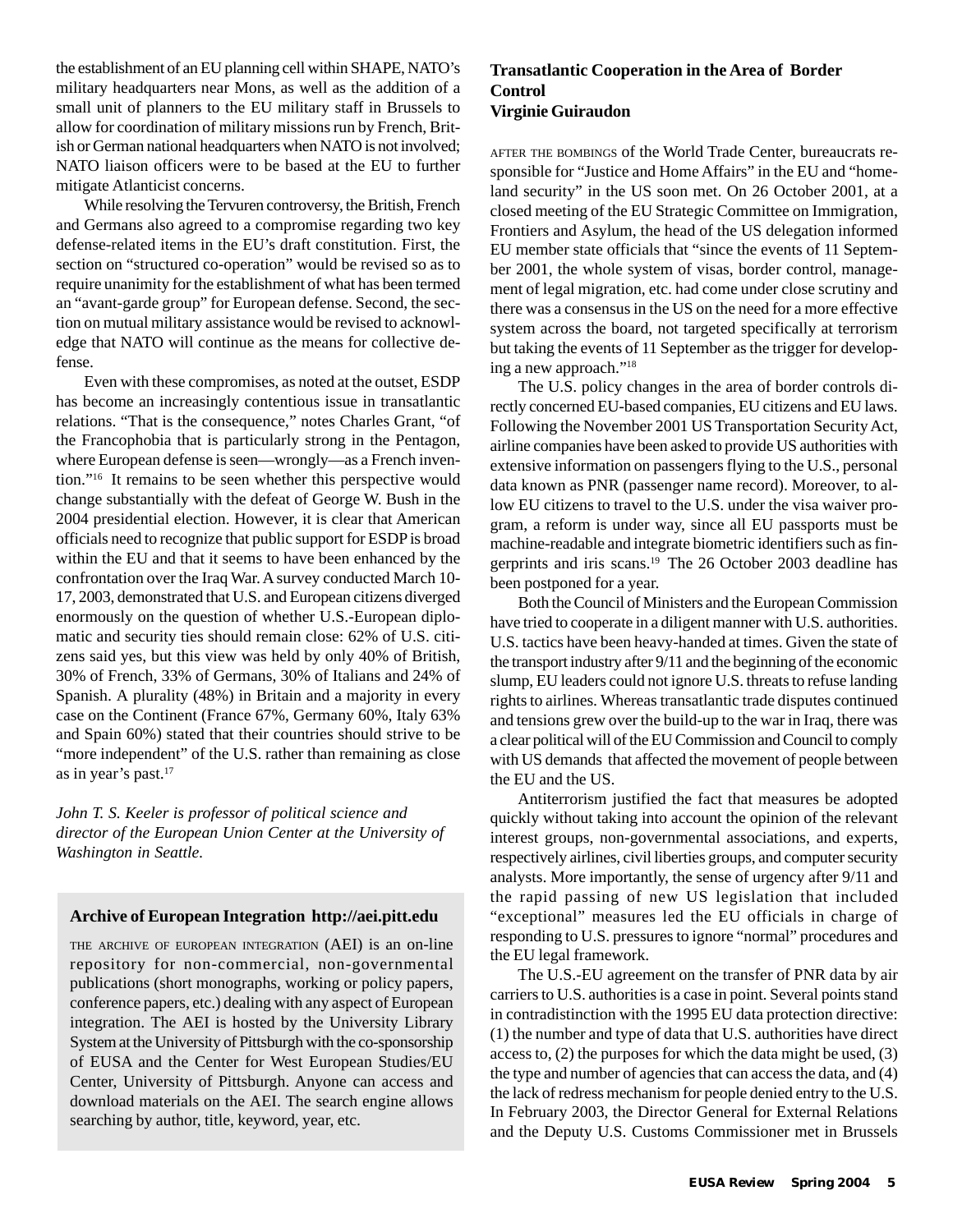the establishment of an EU planning cell within SHAPE, NATO's military headquarters near Mons, as well as the addition of a small unit of planners to the EU military staff in Brussels to allow for coordination of military missions run by French, British or German national headquarters when NATO is not involved; NATO liaison officers were to be based at the EU to further mitigate Atlanticist concerns.

While resolving the Tervuren controversy, the British, French and Germans also agreed to a compromise regarding two key defense-related items in the EU's draft constitution. First, the section on "structured co-operation" would be revised so as to require unanimity for the establishment of what has been termed an "avant-garde group" for European defense. Second, the section on mutual military assistance would be revised to acknowledge that NATO will continue as the means for collective defense.

Even with these compromises, as noted at the outset, ESDP has become an increasingly contentious issue in transatlantic relations. "That is the consequence," notes Charles Grant, "of the Francophobia that is particularly strong in the Pentagon, where European defense is seen—wrongly—as a French invention."16 It remains to be seen whether this perspective would change substantially with the defeat of George W. Bush in the 2004 presidential election. However, it is clear that American officials need to recognize that public support for ESDP is broad within the EU and that it seems to have been enhanced by the confrontation over the Iraq War. A survey conducted March 10- 17, 2003, demonstrated that U.S. and European citizens diverged enormously on the question of whether U.S.-European diplomatic and security ties should remain close: 62% of U.S. citizens said yes, but this view was held by only 40% of British, 30% of French, 33% of Germans, 30% of Italians and 24% of Spanish. A plurality (48%) in Britain and a majority in every case on the Continent (France 67%, Germany 60%, Italy 63% and Spain 60%) stated that their countries should strive to be "more independent" of the U.S. rather than remaining as close as in year's past.<sup>17</sup>

*John T. S. Keeler is professor of political science and director of the European Union Center at the University of Washington in Seattle.*

#### **Archive of European Integration http://aei.pitt.edu**

THE ARCHIVE OF EUROPEAN INTEGRATION (AEI) is an on-line repository for non-commercial, non-governmental publications (short monographs, working or policy papers, conference papers, etc.) dealing with any aspect of European integration. The AEI is hosted by the University Library System at the University of Pittsburgh with the co-sponsorship of EUSA and the Center for West European Studies/EU Center, University of Pittsburgh. Anyone can access and download materials on the AEI. The search engine allows searching by author, title, keyword, year, etc.

#### **Transatlantic Cooperation in the Area of Border Control Virginie Guiraudon**

AFTER THE BOMBINGS of the World Trade Center, bureaucrats responsible for "Justice and Home Affairs" in the EU and "homeland security" in the US soon met. On 26 October 2001, at a closed meeting of the EU Strategic Committee on Immigration, Frontiers and Asylum, the head of the US delegation informed EU member state officials that "since the events of 11 September 2001, the whole system of visas, border control, management of legal migration, etc. had come under close scrutiny and there was a consensus in the US on the need for a more effective system across the board, not targeted specifically at terrorism but taking the events of 11 September as the trigger for developing a new approach."18

The U.S. policy changes in the area of border controls directly concerned EU-based companies, EU citizens and EU laws. Following the November 2001 US Transportation Security Act, airline companies have been asked to provide US authorities with extensive information on passengers flying to the U.S., personal data known as PNR (passenger name record). Moreover, to allow EU citizens to travel to the U.S. under the visa waiver program, a reform is under way, since all EU passports must be machine-readable and integrate biometric identifiers such as fingerprints and iris scans.19 The 26 October 2003 deadline has been postponed for a year.

Both the Council of Ministers and the European Commission have tried to cooperate in a diligent manner with U.S. authorities. U.S. tactics have been heavy-handed at times. Given the state of the transport industry after 9/11 and the beginning of the economic slump, EU leaders could not ignore U.S. threats to refuse landing rights to airlines. Whereas transatlantic trade disputes continued and tensions grew over the build-up to the war in Iraq, there was a clear political will of the EU Commission and Council to comply with US demands that affected the movement of people between the EU and the US.

Antiterrorism justified the fact that measures be adopted quickly without taking into account the opinion of the relevant interest groups, non-governmental associations, and experts, respectively airlines, civil liberties groups, and computer security analysts. More importantly, the sense of urgency after 9/11 and the rapid passing of new US legislation that included "exceptional" measures led the EU officials in charge of responding to U.S. pressures to ignore "normal" procedures and the EU legal framework.

The U.S.-EU agreement on the transfer of PNR data by air carriers to U.S. authorities is a case in point. Several points stand in contradistinction with the 1995 EU data protection directive: (1) the number and type of data that U.S. authorities have direct access to, (2) the purposes for which the data might be used, (3) the type and number of agencies that can access the data, and (4) the lack of redress mechanism for people denied entry to the U.S. In February 2003, the Director General for External Relations and the Deputy U.S. Customs Commissioner met in Brussels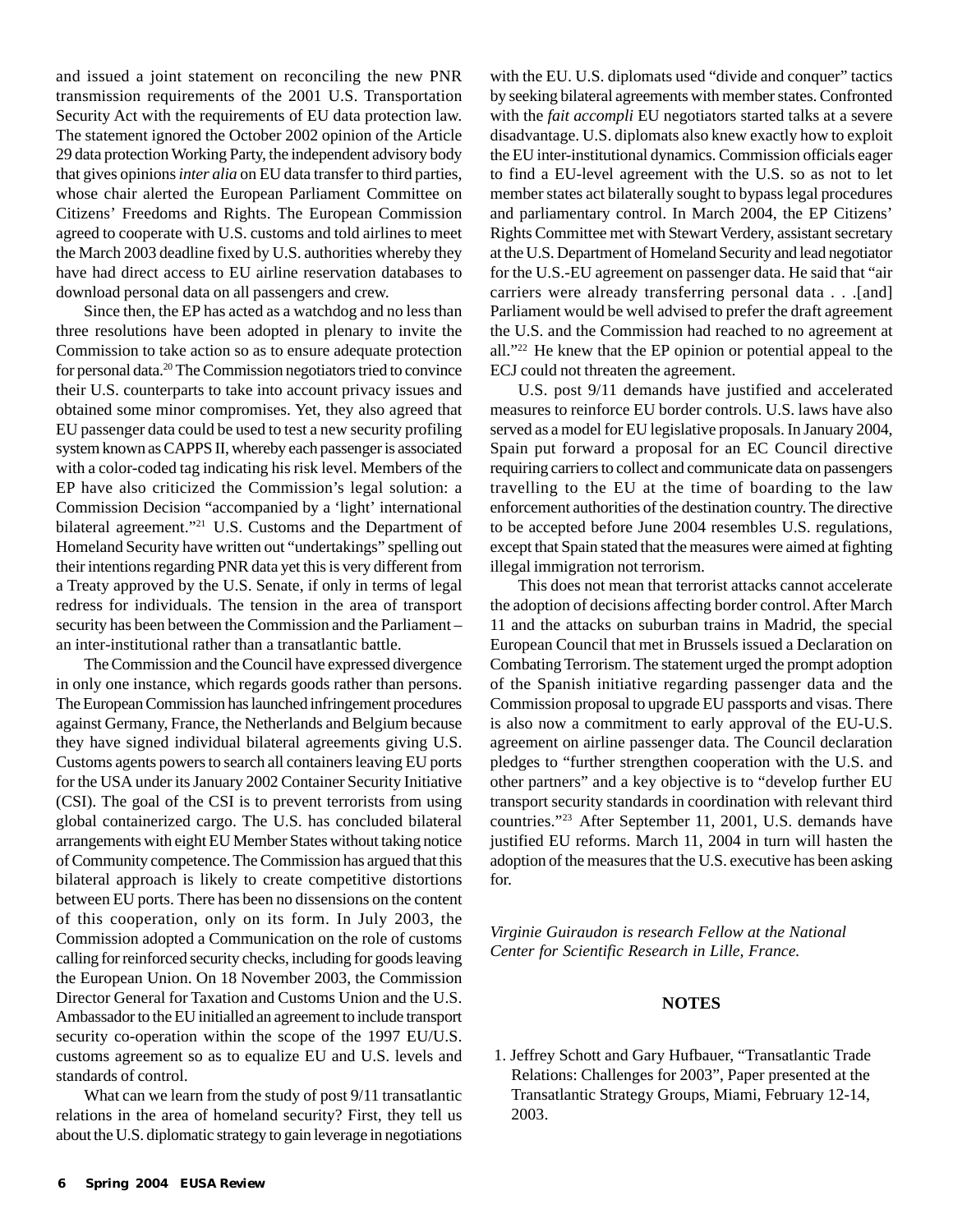and issued a joint statement on reconciling the new PNR transmission requirements of the 2001 U.S. Transportation Security Act with the requirements of EU data protection law. The statement ignored the October 2002 opinion of the Article 29 data protection Working Party, the independent advisory body that gives opinions *inter alia* on EU data transfer to third parties, whose chair alerted the European Parliament Committee on Citizens' Freedoms and Rights. The European Commission agreed to cooperate with U.S. customs and told airlines to meet the March 2003 deadline fixed by U.S. authorities whereby they have had direct access to EU airline reservation databases to download personal data on all passengers and crew.

Since then, the EP has acted as a watchdog and no less than three resolutions have been adopted in plenary to invite the Commission to take action so as to ensure adequate protection for personal data.20 The Commission negotiators tried to convince their U.S. counterparts to take into account privacy issues and obtained some minor compromises. Yet, they also agreed that EU passenger data could be used to test a new security profiling system known as CAPPS II, whereby each passenger is associated with a color-coded tag indicating his risk level. Members of the EP have also criticized the Commission's legal solution: a Commission Decision "accompanied by a 'light' international bilateral agreement."21 U.S. Customs and the Department of Homeland Security have written out "undertakings" spelling out their intentions regarding PNR data yet this is very different from a Treaty approved by the U.S. Senate, if only in terms of legal redress for individuals. The tension in the area of transport security has been between the Commission and the Parliament – an inter-institutional rather than a transatlantic battle.

The Commission and the Council have expressed divergence in only one instance, which regards goods rather than persons. The European Commission has launched infringement procedures against Germany, France, the Netherlands and Belgium because they have signed individual bilateral agreements giving U.S. Customs agents powers to search all containers leaving EU ports for the USA under its January 2002 Container Security Initiative (CSI). The goal of the CSI is to prevent terrorists from using global containerized cargo. The U.S. has concluded bilateral arrangements with eight EU Member States without taking notice of Community competence. The Commission has argued that this bilateral approach is likely to create competitive distortions between EU ports. There has been no dissensions on the content of this cooperation, only on its form. In July 2003, the Commission adopted a Communication on the role of customs calling for reinforced security checks, including for goods leaving the European Union. On 18 November 2003, the Commission Director General for Taxation and Customs Union and the U.S. Ambassador to the EU initialled an agreement to include transport security co-operation within the scope of the 1997 EU/U.S. customs agreement so as to equalize EU and U.S. levels and standards of control.

What can we learn from the study of post 9/11 transatlantic relations in the area of homeland security? First, they tell us about the U.S. diplomatic strategy to gain leverage in negotiations with the EU. U.S. diplomats used "divide and conquer" tactics by seeking bilateral agreements with member states. Confronted with the *fait accompli* EU negotiators started talks at a severe disadvantage. U.S. diplomats also knew exactly how to exploit the EU inter-institutional dynamics. Commission officials eager to find a EU-level agreement with the U.S. so as not to let member states act bilaterally sought to bypass legal procedures and parliamentary control. In March 2004, the EP Citizens' Rights Committee met with Stewart Verdery, assistant secretary at the U.S. Department of Homeland Security and lead negotiator for the U.S.-EU agreement on passenger data. He said that "air carriers were already transferring personal data . . .[and] Parliament would be well advised to prefer the draft agreement the U.S. and the Commission had reached to no agreement at all."22 He knew that the EP opinion or potential appeal to the ECJ could not threaten the agreement.

U.S. post 9/11 demands have justified and accelerated measures to reinforce EU border controls. U.S. laws have also served as a model for EU legislative proposals. In January 2004, Spain put forward a proposal for an EC Council directive requiring carriers to collect and communicate data on passengers travelling to the EU at the time of boarding to the law enforcement authorities of the destination country. The directive to be accepted before June 2004 resembles U.S. regulations, except that Spain stated that the measures were aimed at fighting illegal immigration not terrorism.

This does not mean that terrorist attacks cannot accelerate the adoption of decisions affecting border control. After March 11 and the attacks on suburban trains in Madrid, the special European Council that met in Brussels issued a Declaration on Combating Terrorism. The statement urged the prompt adoption of the Spanish initiative regarding passenger data and the Commission proposal to upgrade EU passports and visas. There is also now a commitment to early approval of the EU-U.S. agreement on airline passenger data. The Council declaration pledges to "further strengthen cooperation with the U.S. and other partners" and a key objective is to "develop further EU transport security standards in coordination with relevant third countries."23 After September 11, 2001, U.S. demands have justified EU reforms. March 11, 2004 in turn will hasten the adoption of the measures that the U.S. executive has been asking for.

*Virginie Guiraudon is research Fellow at the National Center for Scientific Research in Lille, France.*

#### **NOTES**

 1. Jeffrey Schott and Gary Hufbauer, "Transatlantic Trade Relations: Challenges for 2003", Paper presented at the Transatlantic Strategy Groups, Miami, February 12-14, 2003.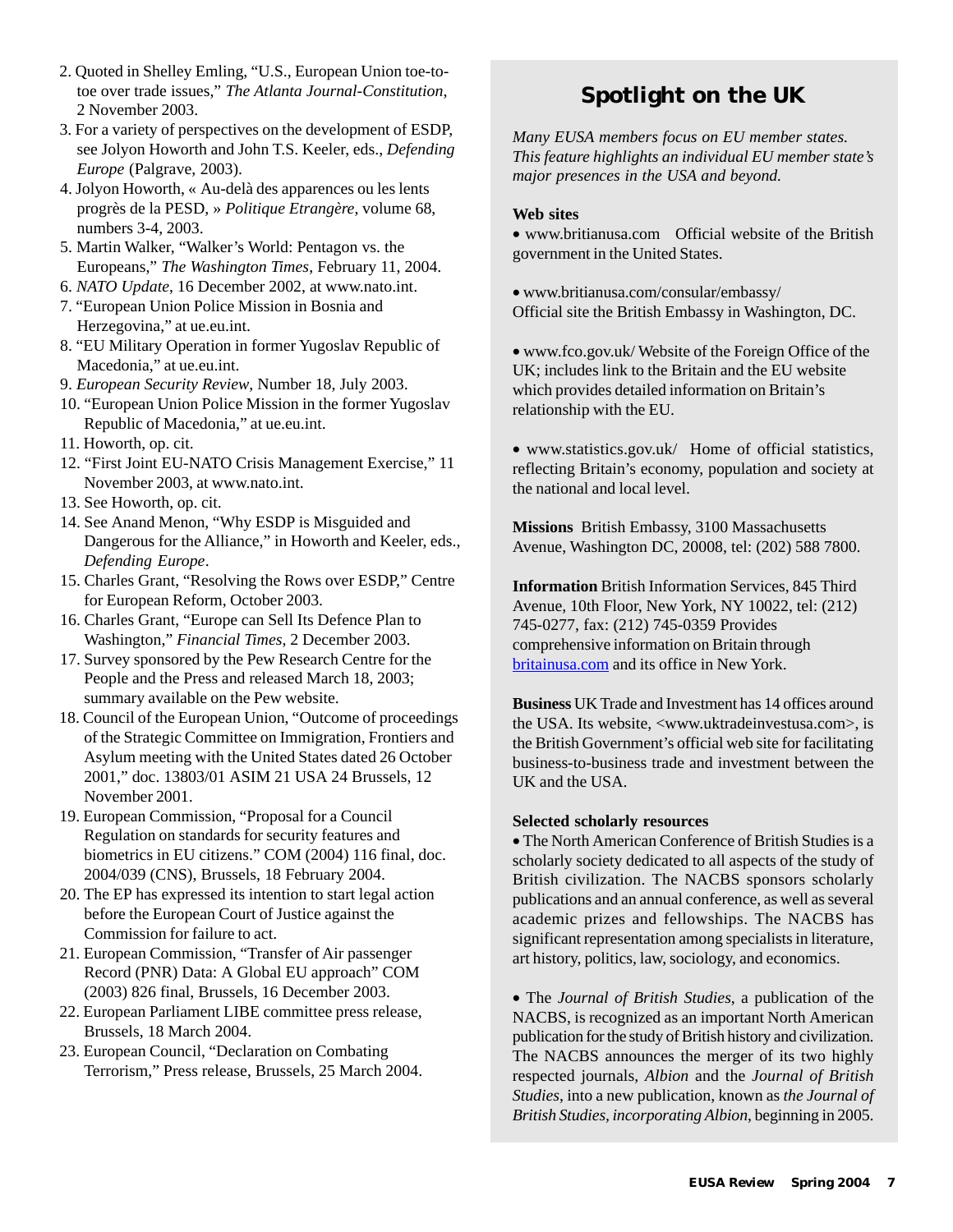- 2. Quoted in Shelley Emling, "U.S., European Union toe-totoe over trade issues," *The Atlanta Journal-Constitution*, 2 November 2003.
- 3. For a variety of perspectives on the development of ESDP, see Jolyon Howorth and John T.S. Keeler, eds., *Defending Europe* (Palgrave, 2003).
- 4. Jolyon Howorth, « Au-delà des apparences ou les lents progrès de la PESD, » *Politique Etrangère*, volume 68, numbers 3-4, 2003.
- 5. Martin Walker, "Walker's World: Pentagon vs. the Europeans," *The Washington Times*, February 11, 2004.
- 6. *NATO Update*, 16 December 2002, at www.nato.int.
- 7. "European Union Police Mission in Bosnia and Herzegovina," at ue.eu.int.
- 8. "EU Military Operation in former Yugoslav Republic of Macedonia," at ue.eu.int.
- 9. *European Security Review*, Number 18, July 2003.
- 10. "European Union Police Mission in the former Yugoslav Republic of Macedonia," at ue.eu.int.
- 11. Howorth, op. cit.
- 12. "First Joint EU-NATO Crisis Management Exercise," 11 November 2003, at www.nato.int.
- 13. See Howorth, op. cit.
- 14. See Anand Menon, "Why ESDP is Misguided and Dangerous for the Alliance," in Howorth and Keeler, eds., *Defending Europe*.
- 15. Charles Grant, "Resolving the Rows over ESDP," Centre for European Reform, October 2003.
- 16. Charles Grant, "Europe can Sell Its Defence Plan to Washington," *Financial Times*, 2 December 2003.
- 17. Survey sponsored by the Pew Research Centre for the People and the Press and released March 18, 2003; summary available on the Pew website.
- 18. Council of the European Union, "Outcome of proceedings of the Strategic Committee on Immigration, Frontiers and Asylum meeting with the United States dated 26 October 2001," doc. 13803/01 ASIM 21 USA 24 Brussels, 12 November 2001.
- 19. European Commission, "Proposal for a Council Regulation on standards for security features and biometrics in EU citizens." COM (2004) 116 final, doc. 2004/039 (CNS), Brussels, 18 February 2004.
- 20. The EP has expressed its intention to start legal action before the European Court of Justice against the Commission for failure to act.
- 21. European Commission, "Transfer of Air passenger Record (PNR) Data: A Global EU approach" COM (2003) 826 final, Brussels, 16 December 2003.
- 22. European Parliament LIBE committee press release, Brussels, 18 March 2004.
- 23. European Council, "Declaration on Combating Terrorism," Press release, Brussels, 25 March 2004.

## **Spotlight on the UK**

*Many EUSA members focus on EU member states. This feature highlights an individual EU member state's major presences in the USA and beyond.*

#### **Web sites**

• www.britianusa.com Official website of the British government in the United States.

• www.britianusa.com/consular/embassy/ Official site the British Embassy in Washington, DC.

• www.fco.gov.uk/ Website of the Foreign Office of the UK; includes link to the Britain and the EU website which provides detailed information on Britain's relationship with the EU.

• www.statistics.gov.uk/ Home of official statistics, reflecting Britain's economy, population and society at the national and local level.

**Missions** British Embassy, 3100 Massachusetts Avenue, Washington DC, 20008, tel: (202) 588 7800.

**Information** British Information Services, 845 Third Avenue, 10th Floor, New York, NY 10022, tel: (212) 745-0277, fax: (212) 745-0359 Provides comprehensive information on Britain through britainusa.com and its office in New York.

**Business** UK Trade and Investment has 14 offices around the USA. Its website, <www.uktradeinvestusa.com>, is the British Government's official web site for facilitating business-to-business trade and investment between the UK and the USA.

#### **Selected scholarly resources**

• The North American Conference of British Studies is a scholarly society dedicated to all aspects of the study of British civilization. The NACBS sponsors scholarly publications and an annual conference, as well as several academic prizes and fellowships. The NACBS has significant representation among specialists in literature, art history, politics, law, sociology, and economics.

• The *Journal of British Studies*, a publication of the NACBS, is recognized as an important North American publication for the study of British history and civilization. The NACBS announces the merger of its two highly respected journals, *Albion* and the *Journal of British Studies*, into a new publication, known as *the Journal of British Studies, incorporating Albion*, beginning in 2005.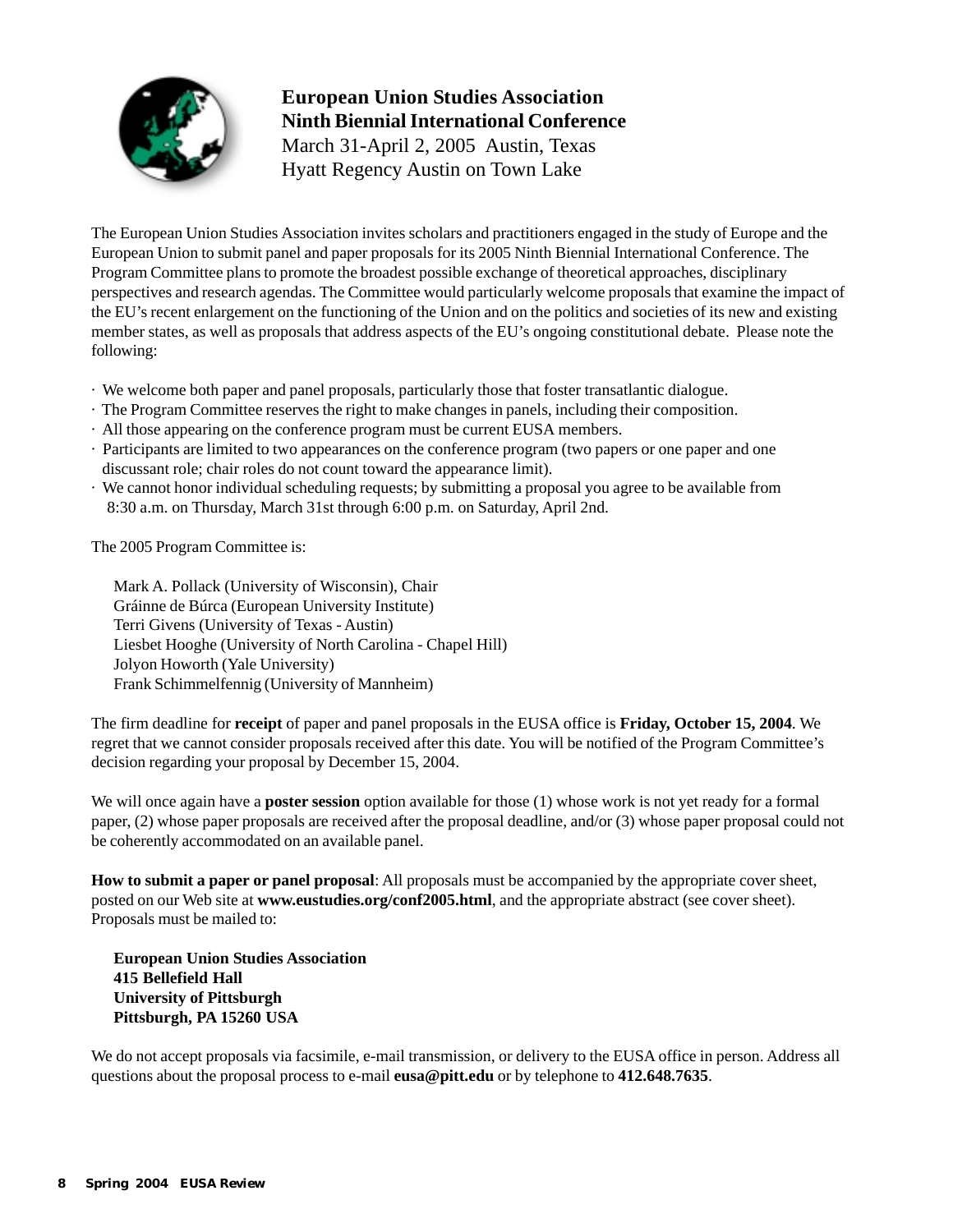

### **European Union Studies Association Ninth Biennial International Conference** March 31-April 2, 2005 Austin, Texas

Hyatt Regency Austin on Town Lake

The European Union Studies Association invites scholars and practitioners engaged in the study of Europe and the European Union to submit panel and paper proposals for its 2005 Ninth Biennial International Conference. The Program Committee plans to promote the broadest possible exchange of theoretical approaches, disciplinary perspectives and research agendas. The Committee would particularly welcome proposals that examine the impact of the EU's recent enlargement on the functioning of the Union and on the politics and societies of its new and existing member states, as well as proposals that address aspects of the EU's ongoing constitutional debate. Please note the following:

- · We welcome both paper and panel proposals, particularly those that foster transatlantic dialogue.
- · The Program Committee reserves the right to make changes in panels, including their composition.
- · All those appearing on the conference program must be current EUSA members.
- · Participants are limited to two appearances on the conference program (two papers or one paper and one discussant role; chair roles do not count toward the appearance limit).
- · We cannot honor individual scheduling requests; by submitting a proposal you agree to be available from 8:30 a.m. on Thursday, March 31st through 6:00 p.m. on Saturday, April 2nd.

The 2005 Program Committee is:

Mark A. Pollack (University of Wisconsin), Chair Gráinne de Búrca (European University Institute) Terri Givens (University of Texas - Austin) Liesbet Hooghe (University of North Carolina - Chapel Hill) Jolyon Howorth (Yale University) Frank Schimmelfennig (University of Mannheim)

The firm deadline for **receipt** of paper and panel proposals in the EUSA office is **Friday, October 15, 2004**. We regret that we cannot consider proposals received after this date. You will be notified of the Program Committee's decision regarding your proposal by December 15, 2004.

We will once again have a **poster session** option available for those (1) whose work is not yet ready for a formal paper, (2) whose paper proposals are received after the proposal deadline, and/or (3) whose paper proposal could not be coherently accommodated on an available panel.

**How to submit a paper or panel proposal**: All proposals must be accompanied by the appropriate cover sheet, posted on our Web site at **www.eustudies.org/conf2005.html**, and the appropriate abstract (see cover sheet). Proposals must be mailed to:

**European Union Studies Association 415 Bellefield Hall University of Pittsburgh Pittsburgh, PA 15260 USA**

We do not accept proposals via facsimile, e-mail transmission, or delivery to the EUSA office in person. Address all questions about the proposal process to e-mail **eusa@pitt.edu** or by telephone to **412.648.7635**.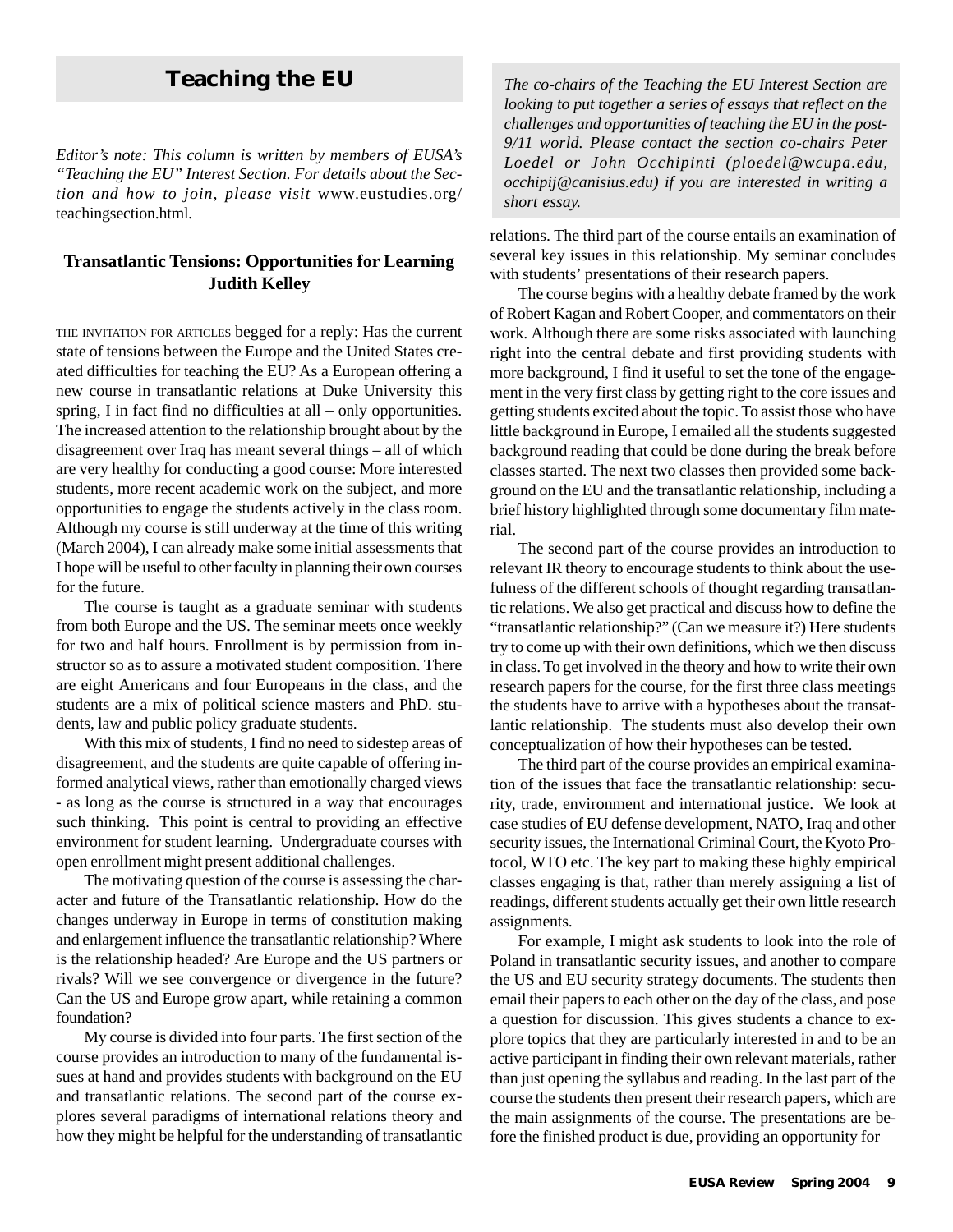### **Teaching the EU**

*Editor's note: This column is written by members of EUSA's "Teaching the EU" Interest Section. For details about the Section and how to join, please visit* www.eustudies.org/ teachingsection.html*.*

#### **Transatlantic Tensions: Opportunities for Learning Judith Kelley**

THE INVITATION FOR ARTICLES begged for a reply: Has the current state of tensions between the Europe and the United States created difficulties for teaching the EU? As a European offering a new course in transatlantic relations at Duke University this spring, I in fact find no difficulties at all – only opportunities. The increased attention to the relationship brought about by the disagreement over Iraq has meant several things – all of which are very healthy for conducting a good course: More interested students, more recent academic work on the subject, and more opportunities to engage the students actively in the class room. Although my course is still underway at the time of this writing (March 2004), I can already make some initial assessments that I hope will be useful to other faculty in planning their own courses for the future.

The course is taught as a graduate seminar with students from both Europe and the US. The seminar meets once weekly for two and half hours. Enrollment is by permission from instructor so as to assure a motivated student composition. There are eight Americans and four Europeans in the class, and the students are a mix of political science masters and PhD. students, law and public policy graduate students.

With this mix of students, I find no need to sidestep areas of disagreement, and the students are quite capable of offering informed analytical views, rather than emotionally charged views - as long as the course is structured in a way that encourages such thinking. This point is central to providing an effective environment for student learning. Undergraduate courses with open enrollment might present additional challenges.

The motivating question of the course is assessing the character and future of the Transatlantic relationship. How do the changes underway in Europe in terms of constitution making and enlargement influence the transatlantic relationship? Where is the relationship headed? Are Europe and the US partners or rivals? Will we see convergence or divergence in the future? Can the US and Europe grow apart, while retaining a common foundation?

My course is divided into four parts. The first section of the course provides an introduction to many of the fundamental issues at hand and provides students with background on the EU and transatlantic relations. The second part of the course explores several paradigms of international relations theory and how they might be helpful for the understanding of transatlantic

*The co-chairs of the Teaching the EU Interest Section are looking to put together a series of essays that reflect on the challenges and opportunities of teaching the EU in the post-9/11 world. Please contact the section co-chairs Peter Loedel or John Occhipinti (ploedel@wcupa.edu, occhipij@canisius.edu) if you are interested in writing a short essay.*

relations. The third part of the course entails an examination of several key issues in this relationship. My seminar concludes with students' presentations of their research papers.

The course begins with a healthy debate framed by the work of Robert Kagan and Robert Cooper, and commentators on their work. Although there are some risks associated with launching right into the central debate and first providing students with more background, I find it useful to set the tone of the engagement in the very first class by getting right to the core issues and getting students excited about the topic. To assist those who have little background in Europe, I emailed all the students suggested background reading that could be done during the break before classes started. The next two classes then provided some background on the EU and the transatlantic relationship, including a brief history highlighted through some documentary film material.

The second part of the course provides an introduction to relevant IR theory to encourage students to think about the usefulness of the different schools of thought regarding transatlantic relations. We also get practical and discuss how to define the "transatlantic relationship?" (Can we measure it?) Here students try to come up with their own definitions, which we then discuss in class. To get involved in the theory and how to write their own research papers for the course, for the first three class meetings the students have to arrive with a hypotheses about the transatlantic relationship. The students must also develop their own conceptualization of how their hypotheses can be tested.

The third part of the course provides an empirical examination of the issues that face the transatlantic relationship: security, trade, environment and international justice. We look at case studies of EU defense development, NATO, Iraq and other security issues, the International Criminal Court, the Kyoto Protocol, WTO etc. The key part to making these highly empirical classes engaging is that, rather than merely assigning a list of readings, different students actually get their own little research assignments.

For example, I might ask students to look into the role of Poland in transatlantic security issues, and another to compare the US and EU security strategy documents. The students then email their papers to each other on the day of the class, and pose a question for discussion. This gives students a chance to explore topics that they are particularly interested in and to be an active participant in finding their own relevant materials, rather than just opening the syllabus and reading. In the last part of the course the students then present their research papers, which are the main assignments of the course. The presentations are before the finished product is due, providing an opportunity for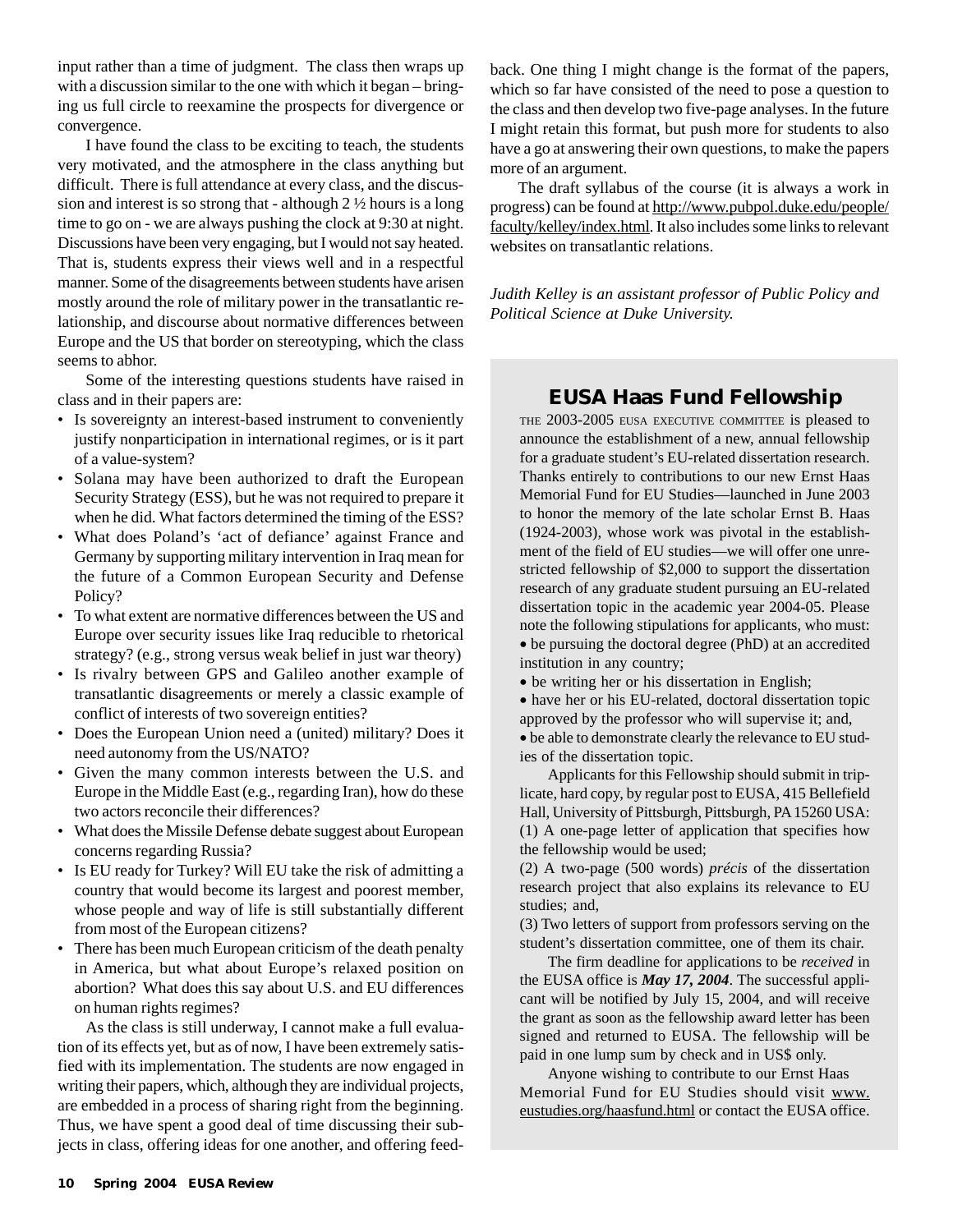input rather than a time of judgment. The class then wraps up with a discussion similar to the one with which it began – bringing us full circle to reexamine the prospects for divergence or convergence.

I have found the class to be exciting to teach, the students very motivated, and the atmosphere in the class anything but difficult. There is full attendance at every class, and the discussion and interest is so strong that - although 2 ½ hours is a long time to go on - we are always pushing the clock at 9:30 at night. Discussions have been very engaging, but I would not say heated. That is, students express their views well and in a respectful manner. Some of the disagreements between students have arisen mostly around the role of military power in the transatlantic relationship, and discourse about normative differences between Europe and the US that border on stereotyping, which the class seems to abhor.

Some of the interesting questions students have raised in class and in their papers are:

- Is sovereignty an interest-based instrument to conveniently justify nonparticipation in international regimes, or is it part of a value-system?
- Solana may have been authorized to draft the European Security Strategy (ESS), but he was not required to prepare it when he did. What factors determined the timing of the ESS?
- What does Poland's 'act of defiance' against France and Germany by supporting military intervention in Iraq mean for the future of a Common European Security and Defense Policy?
- To what extent are normative differences between the US and Europe over security issues like Iraq reducible to rhetorical strategy? (e.g., strong versus weak belief in just war theory)
- Is rivalry between GPS and Galileo another example of transatlantic disagreements or merely a classic example of conflict of interests of two sovereign entities?
- Does the European Union need a (united) military? Does it need autonomy from the US/NATO?
- Given the many common interests between the U.S. and Europe in the Middle East (e.g., regarding Iran), how do these two actors reconcile their differences?
- What does the Missile Defense debate suggest about European concerns regarding Russia?
- Is EU ready for Turkey? Will EU take the risk of admitting a country that would become its largest and poorest member, whose people and way of life is still substantially different from most of the European citizens?
- There has been much European criticism of the death penalty in America, but what about Europe's relaxed position on abortion? What does this say about U.S. and EU differences on human rights regimes?

As the class is still underway, I cannot make a full evaluation of its effects yet, but as of now, I have been extremely satisfied with its implementation. The students are now engaged in writing their papers, which, although they are individual projects, are embedded in a process of sharing right from the beginning. Thus, we have spent a good deal of time discussing their subjects in class, offering ideas for one another, and offering feedback. One thing I might change is the format of the papers, which so far have consisted of the need to pose a question to the class and then develop two five-page analyses. In the future I might retain this format, but push more for students to also have a go at answering their own questions, to make the papers more of an argument.

The draft syllabus of the course (it is always a work in progress) can be found at http://www.pubpol.duke.edu/people/ faculty/kelley/index.html. It also includes some links to relevant websites on transatlantic relations.

*Judith Kelley is an assistant professor of Public Policy and Political Science at Duke University.*

### **EUSA Haas Fund Fellowship**

THE 2003-2005 EUSA EXECUTIVE COMMITTEE is pleased to announce the establishment of a new, annual fellowship for a graduate student's EU-related dissertation research. Thanks entirely to contributions to our new Ernst Haas Memorial Fund for EU Studies—launched in June 2003 to honor the memory of the late scholar Ernst B. Haas (1924-2003), whose work was pivotal in the establishment of the field of EU studies—we will offer one unrestricted fellowship of \$2,000 to support the dissertation research of any graduate student pursuing an EU-related dissertation topic in the academic year 2004-05. Please note the following stipulations for applicants, who must: • be pursuing the doctoral degree (PhD) at an accredited institution in any country;

• be writing her or his dissertation in English;

• have her or his EU-related, doctoral dissertation topic approved by the professor who will supervise it; and,

• be able to demonstrate clearly the relevance to EU studies of the dissertation topic.

Applicants for this Fellowship should submit in triplicate, hard copy, by regular post to EUSA, 415 Bellefield Hall, University of Pittsburgh, Pittsburgh, PA 15260 USA: (1) A one-page letter of application that specifies how the fellowship would be used;

(2) A two-page (500 words) *précis* of the dissertation research project that also explains its relevance to EU studies; and,

(3) Two letters of support from professors serving on the student's dissertation committee, one of them its chair.

The firm deadline for applications to be *received* in the EUSA office is *May 17, 2004*. The successful applicant will be notified by July 15, 2004, and will receive the grant as soon as the fellowship award letter has been signed and returned to EUSA. The fellowship will be paid in one lump sum by check and in US\$ only.

Anyone wishing to contribute to our Ernst Haas Memorial Fund for EU Studies should visit www. eustudies.org/haasfund.html or contact the EUSA office.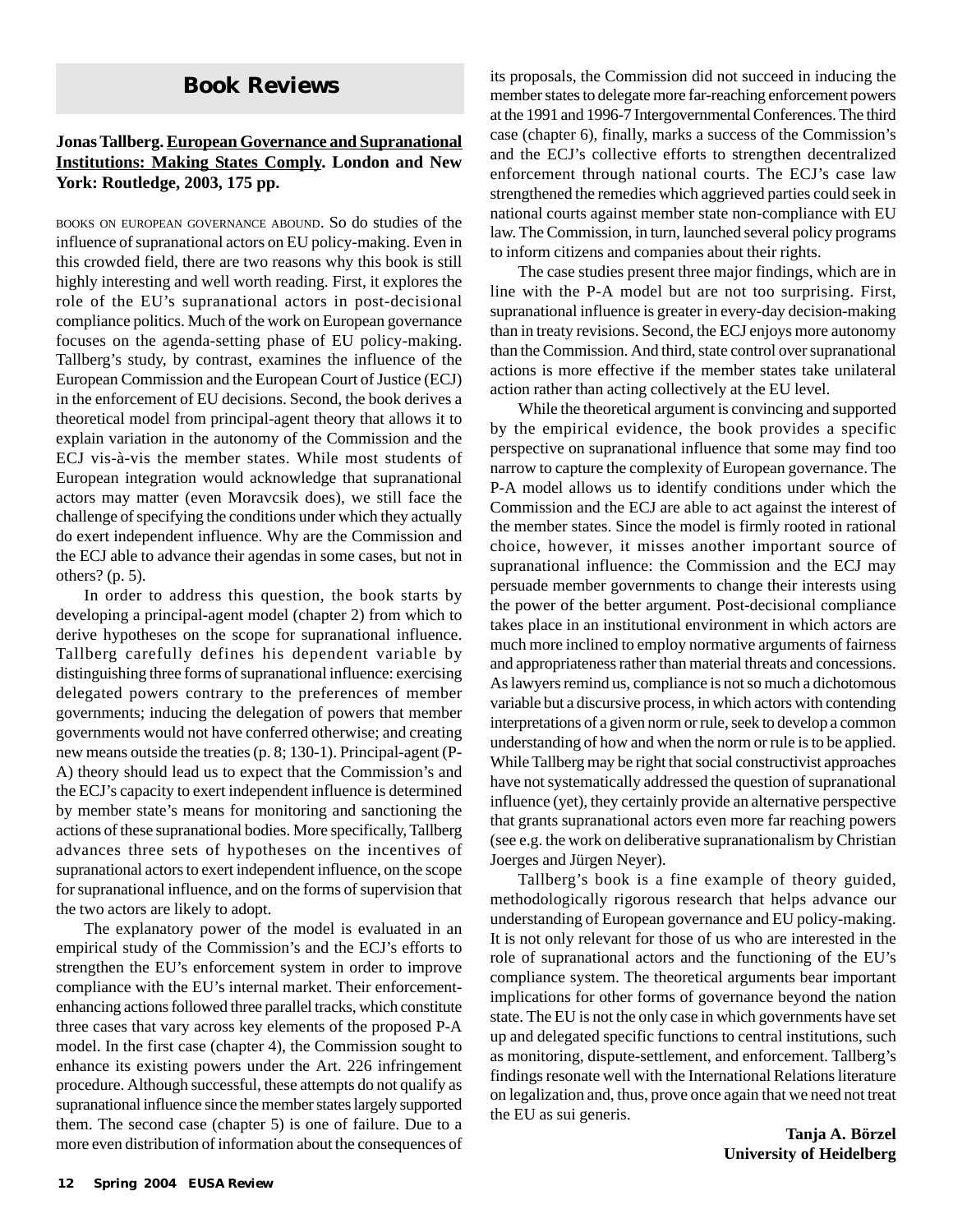### **Book Reviews**

#### **Jonas Tallberg. European Governance and Supranational Institutions: Making States Comply. London and New York: Routledge, 2003, 175 pp.**

BOOKS ON EUROPEAN GOVERNANCE ABOUND. So do studies of the influence of supranational actors on EU policy-making. Even in this crowded field, there are two reasons why this book is still highly interesting and well worth reading. First, it explores the role of the EU's supranational actors in post-decisional compliance politics. Much of the work on European governance focuses on the agenda-setting phase of EU policy-making. Tallberg's study, by contrast, examines the influence of the European Commission and the European Court of Justice (ECJ) in the enforcement of EU decisions. Second, the book derives a theoretical model from principal-agent theory that allows it to explain variation in the autonomy of the Commission and the ECJ vis-à-vis the member states. While most students of European integration would acknowledge that supranational actors may matter (even Moravcsik does), we still face the challenge of specifying the conditions under which they actually do exert independent influence. Why are the Commission and the ECJ able to advance their agendas in some cases, but not in others? (p. 5).

In order to address this question, the book starts by developing a principal-agent model (chapter 2) from which to derive hypotheses on the scope for supranational influence. Tallberg carefully defines his dependent variable by distinguishing three forms of supranational influence: exercising delegated powers contrary to the preferences of member governments; inducing the delegation of powers that member governments would not have conferred otherwise; and creating new means outside the treaties (p. 8; 130-1). Principal-agent (P-A) theory should lead us to expect that the Commission's and the ECJ's capacity to exert independent influence is determined by member state's means for monitoring and sanctioning the actions of these supranational bodies. More specifically, Tallberg advances three sets of hypotheses on the incentives of supranational actors to exert independent influence, on the scope for supranational influence, and on the forms of supervision that the two actors are likely to adopt.

The explanatory power of the model is evaluated in an empirical study of the Commission's and the ECJ's efforts to strengthen the EU's enforcement system in order to improve compliance with the EU's internal market. Their enforcementenhancing actions followed three parallel tracks, which constitute three cases that vary across key elements of the proposed P-A model. In the first case (chapter 4), the Commission sought to enhance its existing powers under the Art. 226 infringement procedure. Although successful, these attempts do not qualify as supranational influence since the member states largely supported them. The second case (chapter 5) is one of failure. Due to a more even distribution of information about the consequences of its proposals, the Commission did not succeed in inducing the member states to delegate more far-reaching enforcement powers at the 1991 and 1996-7 Intergovernmental Conferences. The third case (chapter 6), finally, marks a success of the Commission's and the ECJ's collective efforts to strengthen decentralized enforcement through national courts. The ECJ's case law strengthened the remedies which aggrieved parties could seek in national courts against member state non-compliance with EU law. The Commission, in turn, launched several policy programs to inform citizens and companies about their rights.

The case studies present three major findings, which are in line with the P-A model but are not too surprising. First, supranational influence is greater in every-day decision-making than in treaty revisions. Second, the ECJ enjoys more autonomy than the Commission. And third, state control over supranational actions is more effective if the member states take unilateral action rather than acting collectively at the EU level.

While the theoretical argument is convincing and supported by the empirical evidence, the book provides a specific perspective on supranational influence that some may find too narrow to capture the complexity of European governance. The P-A model allows us to identify conditions under which the Commission and the ECJ are able to act against the interest of the member states. Since the model is firmly rooted in rational choice, however, it misses another important source of supranational influence: the Commission and the ECJ may persuade member governments to change their interests using the power of the better argument. Post-decisional compliance takes place in an institutional environment in which actors are much more inclined to employ normative arguments of fairness and appropriateness rather than material threats and concessions. As lawyers remind us, compliance is not so much a dichotomous variable but a discursive process, in which actors with contending interpretations of a given norm or rule, seek to develop a common understanding of how and when the norm or rule is to be applied. While Tallberg may be right that social constructivist approaches have not systematically addressed the question of supranational influence (yet), they certainly provide an alternative perspective that grants supranational actors even more far reaching powers (see e.g. the work on deliberative supranationalism by Christian Joerges and Jürgen Neyer).

Tallberg's book is a fine example of theory guided, methodologically rigorous research that helps advance our understanding of European governance and EU policy-making. It is not only relevant for those of us who are interested in the role of supranational actors and the functioning of the EU's compliance system. The theoretical arguments bear important implications for other forms of governance beyond the nation state. The EU is not the only case in which governments have set up and delegated specific functions to central institutions, such as monitoring, dispute-settlement, and enforcement. Tallberg's findings resonate well with the International Relations literature on legalization and, thus, prove once again that we need not treat the EU as sui generis.

> **Tanja A. Börzel University of Heidelberg**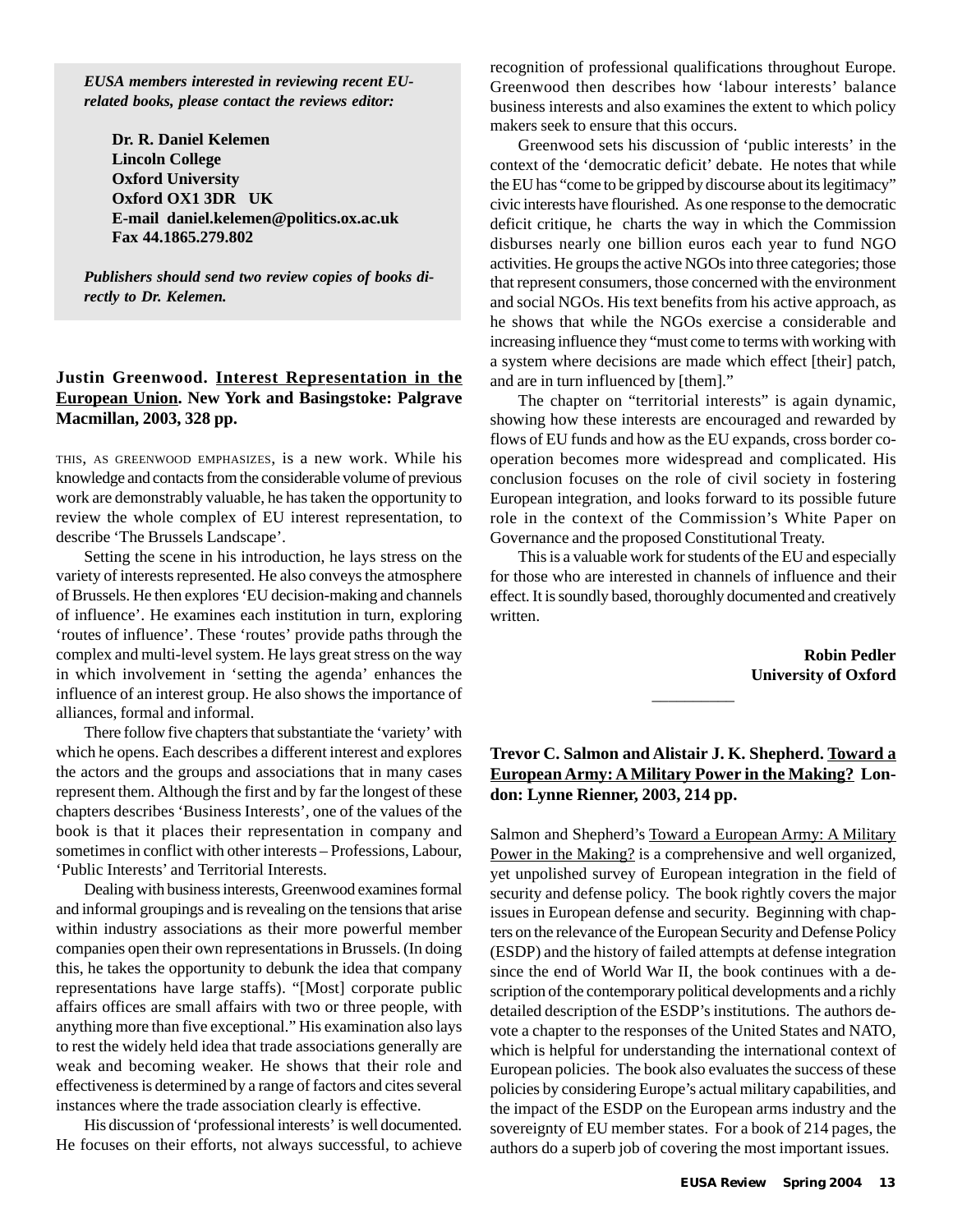*EUSA members interested in reviewing recent EUrelated books, please contact the reviews editor:*

**Dr. R. Daniel Kelemen Lincoln College Oxford University Oxford OX1 3DR UK E-mail daniel.kelemen@politics.ox.ac.uk Fax 44.1865.279.802**

*Publishers should send two review copies of books directly to Dr. Kelemen.*

#### **Justin Greenwood. Interest Representation in the European Union. New York and Basingstoke: Palgrave Macmillan, 2003, 328 pp.**

THIS, AS GREENWOOD EMPHASIZES, is a new work. While his knowledge and contacts from the considerable volume of previous work are demonstrably valuable, he has taken the opportunity to review the whole complex of EU interest representation, to describe 'The Brussels Landscape'.

Setting the scene in his introduction, he lays stress on the variety of interests represented. He also conveys the atmosphere of Brussels. He then explores 'EU decision-making and channels of influence'. He examines each institution in turn, exploring 'routes of influence'. These 'routes' provide paths through the complex and multi-level system. He lays great stress on the way in which involvement in 'setting the agenda' enhances the influence of an interest group. He also shows the importance of alliances, formal and informal.

There follow five chapters that substantiate the 'variety' with which he opens. Each describes a different interest and explores the actors and the groups and associations that in many cases represent them. Although the first and by far the longest of these chapters describes 'Business Interests', one of the values of the book is that it places their representation in company and sometimes in conflict with other interests – Professions, Labour, 'Public Interests' and Territorial Interests.

Dealing with business interests, Greenwood examines formal and informal groupings and is revealing on the tensions that arise within industry associations as their more powerful member companies open their own representations in Brussels. (In doing this, he takes the opportunity to debunk the idea that company representations have large staffs). "[Most] corporate public affairs offices are small affairs with two or three people, with anything more than five exceptional." His examination also lays to rest the widely held idea that trade associations generally are weak and becoming weaker. He shows that their role and effectiveness is determined by a range of factors and cites several instances where the trade association clearly is effective.

His discussion of 'professional interests' is well documented. He focuses on their efforts, not always successful, to achieve recognition of professional qualifications throughout Europe. Greenwood then describes how 'labour interests' balance business interests and also examines the extent to which policy makers seek to ensure that this occurs.

Greenwood sets his discussion of 'public interests' in the context of the 'democratic deficit' debate. He notes that while the EU has "come to be gripped by discourse about its legitimacy" civic interests have flourished. As one response to the democratic deficit critique, he charts the way in which the Commission disburses nearly one billion euros each year to fund NGO activities. He groups the active NGOs into three categories; those that represent consumers, those concerned with the environment and social NGOs. His text benefits from his active approach, as he shows that while the NGOs exercise a considerable and increasing influence they "must come to terms with working with a system where decisions are made which effect [their] patch, and are in turn influenced by [them]."

The chapter on "territorial interests" is again dynamic, showing how these interests are encouraged and rewarded by flows of EU funds and how as the EU expands, cross border cooperation becomes more widespread and complicated. His conclusion focuses on the role of civil society in fostering European integration, and looks forward to its possible future role in the context of the Commission's White Paper on Governance and the proposed Constitutional Treaty.

This is a valuable work for students of the EU and especially for those who are interested in channels of influence and their effect. It is soundly based, thoroughly documented and creatively written.

> **Robin Pedler University of Oxford**

#### **Trevor C. Salmon and Alistair J. K. Shepherd. Toward a European Army: A Military Power in the Making? London: Lynne Rienner, 2003, 214 pp.**

 $\overline{\phantom{a}}$ 

Salmon and Shepherd's Toward a European Army: A Military Power in the Making? is a comprehensive and well organized, yet unpolished survey of European integration in the field of security and defense policy. The book rightly covers the major issues in European defense and security. Beginning with chapters on the relevance of the European Security and Defense Policy (ESDP) and the history of failed attempts at defense integration since the end of World War II, the book continues with a description of the contemporary political developments and a richly detailed description of the ESDP's institutions. The authors devote a chapter to the responses of the United States and NATO, which is helpful for understanding the international context of European policies. The book also evaluates the success of these policies by considering Europe's actual military capabilities, and the impact of the ESDP on the European arms industry and the sovereignty of EU member states. For a book of 214 pages, the authors do a superb job of covering the most important issues.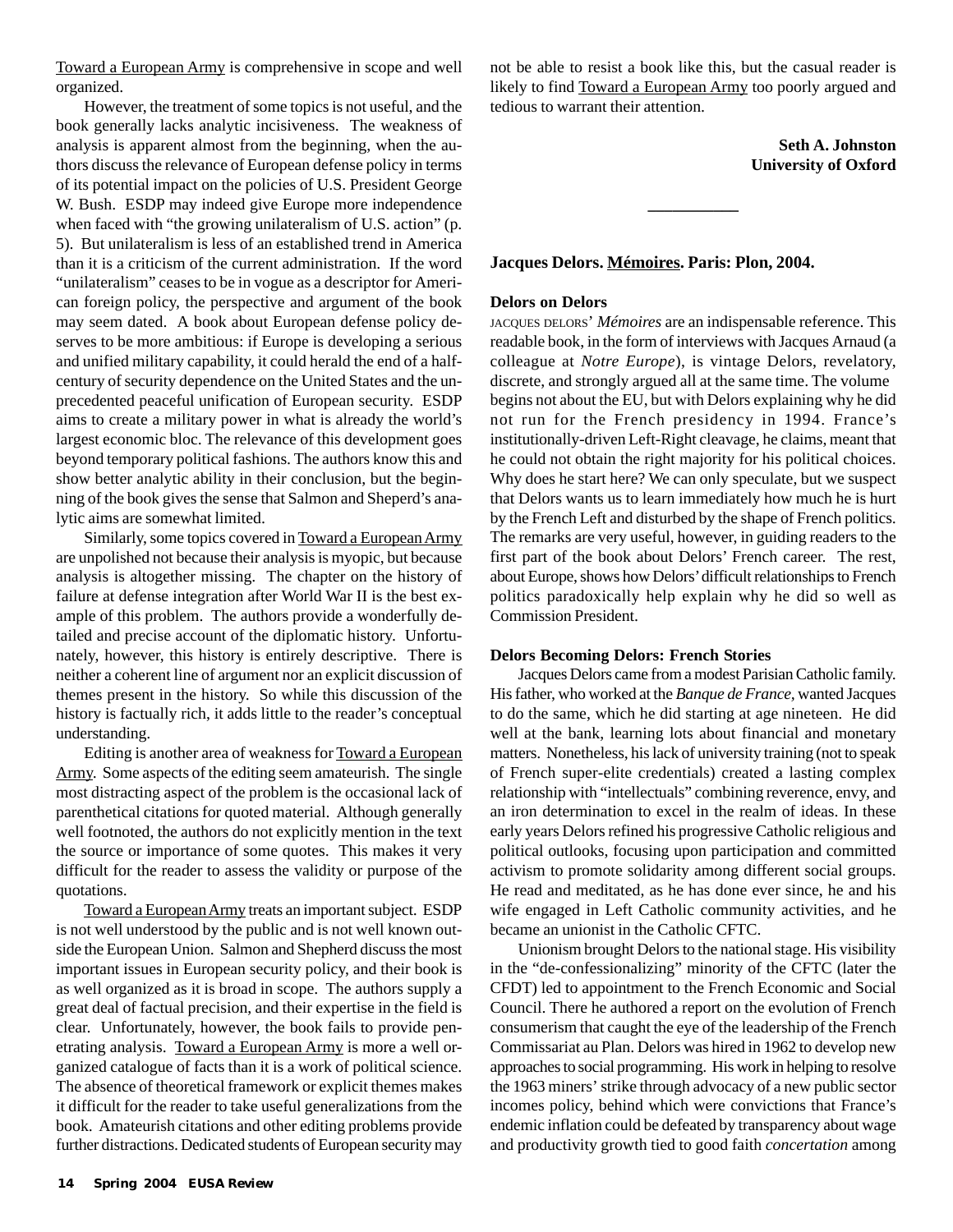Toward a European Army is comprehensive in scope and well organized.

However, the treatment of some topics is not useful, and the book generally lacks analytic incisiveness. The weakness of analysis is apparent almost from the beginning, when the authors discuss the relevance of European defense policy in terms of its potential impact on the policies of U.S. President George W. Bush. ESDP may indeed give Europe more independence when faced with "the growing unilateralism of U.S. action" (p. 5). But unilateralism is less of an established trend in America than it is a criticism of the current administration. If the word "unilateralism" ceases to be in vogue as a descriptor for American foreign policy, the perspective and argument of the book may seem dated. A book about European defense policy deserves to be more ambitious: if Europe is developing a serious and unified military capability, it could herald the end of a halfcentury of security dependence on the United States and the unprecedented peaceful unification of European security. ESDP aims to create a military power in what is already the world's largest economic bloc. The relevance of this development goes beyond temporary political fashions. The authors know this and show better analytic ability in their conclusion, but the beginning of the book gives the sense that Salmon and Sheperd's analytic aims are somewhat limited.

Similarly, some topics covered in Toward a European Army are unpolished not because their analysis is myopic, but because analysis is altogether missing. The chapter on the history of failure at defense integration after World War II is the best example of this problem. The authors provide a wonderfully detailed and precise account of the diplomatic history. Unfortunately, however, this history is entirely descriptive. There is neither a coherent line of argument nor an explicit discussion of themes present in the history. So while this discussion of the history is factually rich, it adds little to the reader's conceptual understanding.

Editing is another area of weakness for Toward a European Army. Some aspects of the editing seem amateurish. The single most distracting aspect of the problem is the occasional lack of parenthetical citations for quoted material. Although generally well footnoted, the authors do not explicitly mention in the text the source or importance of some quotes. This makes it very difficult for the reader to assess the validity or purpose of the quotations.

Toward a European Army treats an important subject. ESDP is not well understood by the public and is not well known outside the European Union. Salmon and Shepherd discuss the most important issues in European security policy, and their book is as well organized as it is broad in scope. The authors supply a great deal of factual precision, and their expertise in the field is clear. Unfortunately, however, the book fails to provide penetrating analysis. Toward a European Army is more a well organized catalogue of facts than it is a work of political science. The absence of theoretical framework or explicit themes makes it difficult for the reader to take useful generalizations from the book. Amateurish citations and other editing problems provide further distractions. Dedicated students of European security may not be able to resist a book like this, but the casual reader is likely to find Toward a European Army too poorly argued and tedious to warrant their attention.

**\_\_\_\_\_\_\_\_\_\_\_**

**Seth A. Johnston University of Oxford**

#### **Jacques Delors. Mémoires. Paris: Plon, 2004.**

#### **Delors on Delors**

JACQUES DELORS' *Mémoires* are an indispensable reference. This readable book, in the form of interviews with Jacques Arnaud (a colleague at *Notre Europe*), is vintage Delors, revelatory, discrete, and strongly argued all at the same time. The volume begins not about the EU, but with Delors explaining why he did not run for the French presidency in 1994. France's institutionally-driven Left-Right cleavage, he claims, meant that he could not obtain the right majority for his political choices. Why does he start here? We can only speculate, but we suspect that Delors wants us to learn immediately how much he is hurt by the French Left and disturbed by the shape of French politics. The remarks are very useful, however, in guiding readers to the first part of the book about Delors' French career. The rest, about Europe, shows how Delors' difficult relationships to French politics paradoxically help explain why he did so well as Commission President.

#### **Delors Becoming Delors: French Stories**

Jacques Delors came from a modest Parisian Catholic family. His father, who worked at the *Banque de France,* wanted Jacques to do the same, which he did starting at age nineteen. He did well at the bank, learning lots about financial and monetary matters. Nonetheless, his lack of university training (not to speak of French super-elite credentials) created a lasting complex relationship with "intellectuals" combining reverence, envy, and an iron determination to excel in the realm of ideas. In these early years Delors refined his progressive Catholic religious and political outlooks, focusing upon participation and committed activism to promote solidarity among different social groups. He read and meditated, as he has done ever since, he and his wife engaged in Left Catholic community activities, and he became an unionist in the Catholic CFTC.

Unionism brought Delors to the national stage. His visibility in the "de-confessionalizing" minority of the CFTC (later the CFDT) led to appointment to the French Economic and Social Council. There he authored a report on the evolution of French consumerism that caught the eye of the leadership of the French Commissariat au Plan. Delors was hired in 1962 to develop new approaches to social programming. His work in helping to resolve the 1963 miners' strike through advocacy of a new public sector incomes policy, behind which were convictions that France's endemic inflation could be defeated by transparency about wage and productivity growth tied to good faith *concertation* among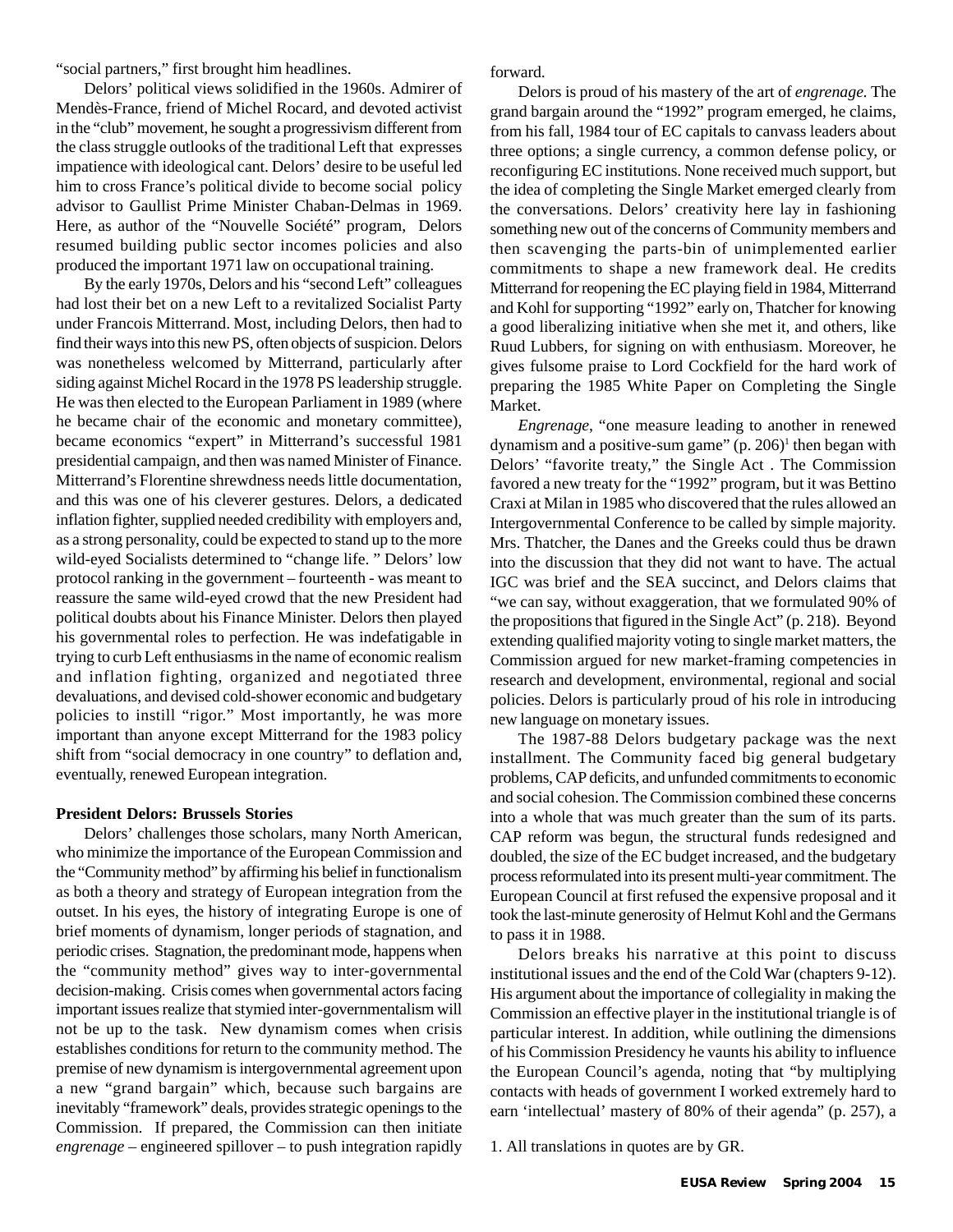"social partners," first brought him headlines.

Delors' political views solidified in the 1960s. Admirer of Mendès-France, friend of Michel Rocard, and devoted activist in the "club" movement, he sought a progressivism different from the class struggle outlooks of the traditional Left that expresses impatience with ideological cant. Delors' desire to be useful led him to cross France's political divide to become social policy advisor to Gaullist Prime Minister Chaban-Delmas in 1969. Here, as author of the "Nouvelle Société" program, Delors resumed building public sector incomes policies and also produced the important 1971 law on occupational training.

By the early 1970s, Delors and his "second Left" colleagues had lost their bet on a new Left to a revitalized Socialist Party under Francois Mitterrand. Most, including Delors, then had to find their ways into this new PS, often objects of suspicion. Delors was nonetheless welcomed by Mitterrand, particularly after siding against Michel Rocard in the 1978 PS leadership struggle. He was then elected to the European Parliament in 1989 (where he became chair of the economic and monetary committee), became economics "expert" in Mitterrand's successful 1981 presidential campaign, and then was named Minister of Finance. Mitterrand's Florentine shrewdness needs little documentation, and this was one of his cleverer gestures. Delors, a dedicated inflation fighter, supplied needed credibility with employers and, as a strong personality, could be expected to stand up to the more wild-eyed Socialists determined to "change life. " Delors' low protocol ranking in the government – fourteenth - was meant to reassure the same wild-eyed crowd that the new President had political doubts about his Finance Minister. Delors then played his governmental roles to perfection. He was indefatigable in trying to curb Left enthusiasms in the name of economic realism and inflation fighting, organized and negotiated three devaluations, and devised cold-shower economic and budgetary policies to instill "rigor." Most importantly, he was more important than anyone except Mitterrand for the 1983 policy shift from "social democracy in one country" to deflation and, eventually, renewed European integration.

#### **President Delors: Brussels Stories**

Delors' challenges those scholars, many North American, who minimize the importance of the European Commission and the "Community method" by affirming his belief in functionalism as both a theory and strategy of European integration from the outset. In his eyes, the history of integrating Europe is one of brief moments of dynamism, longer periods of stagnation, and periodic crises. Stagnation, the predominant mode, happens when the "community method" gives way to inter-governmental decision-making. Crisis comes when governmental actors facing important issues realize that stymied inter-governmentalism will not be up to the task. New dynamism comes when crisis establishes conditions for return to the community method. The premise of new dynamism is intergovernmental agreement upon a new "grand bargain" which, because such bargains are inevitably "framework" deals, provides strategic openings to the Commission. If prepared, the Commission can then initiate *engrenage –* engineered spillover – to push integration rapidly forward.

Delors is proud of his mastery of the art of *engrenage.* The grand bargain around the "1992" program emerged, he claims, from his fall, 1984 tour of EC capitals to canvass leaders about three options; a single currency, a common defense policy, or reconfiguring EC institutions. None received much support, but the idea of completing the Single Market emerged clearly from the conversations. Delors' creativity here lay in fashioning something new out of the concerns of Community members and then scavenging the parts-bin of unimplemented earlier commitments to shape a new framework deal. He credits Mitterrand for reopening the EC playing field in 1984, Mitterrand and Kohl for supporting "1992" early on, Thatcher for knowing a good liberalizing initiative when she met it, and others, like Ruud Lubbers, for signing on with enthusiasm. Moreover, he gives fulsome praise to Lord Cockfield for the hard work of preparing the 1985 White Paper on Completing the Single Market.

*Engrenage*, "one measure leading to another in renewed dynamism and a positive-sum game" (p. 206)<sup>1</sup> then began with Delors' "favorite treaty," the Single Act . The Commission favored a new treaty for the "1992" program, but it was Bettino Craxi at Milan in 1985 who discovered that the rules allowed an Intergovernmental Conference to be called by simple majority. Mrs. Thatcher, the Danes and the Greeks could thus be drawn into the discussion that they did not want to have. The actual IGC was brief and the SEA succinct, and Delors claims that "we can say, without exaggeration, that we formulated 90% of the propositions that figured in the Single Act" (p. 218). Beyond extending qualified majority voting to single market matters, the Commission argued for new market-framing competencies in research and development, environmental, regional and social policies. Delors is particularly proud of his role in introducing new language on monetary issues.

The 1987-88 Delors budgetary package was the next installment. The Community faced big general budgetary problems, CAP deficits, and unfunded commitments to economic and social cohesion. The Commission combined these concerns into a whole that was much greater than the sum of its parts. CAP reform was begun, the structural funds redesigned and doubled, the size of the EC budget increased, and the budgetary process reformulated into its present multi-year commitment. The European Council at first refused the expensive proposal and it took the last-minute generosity of Helmut Kohl and the Germans to pass it in 1988.

Delors breaks his narrative at this point to discuss institutional issues and the end of the Cold War (chapters 9-12). His argument about the importance of collegiality in making the Commission an effective player in the institutional triangle is of particular interest. In addition, while outlining the dimensions of his Commission Presidency he vaunts his ability to influence the European Council's agenda, noting that "by multiplying contacts with heads of government I worked extremely hard to earn 'intellectual' mastery of 80% of their agenda" (p. 257), a

1. All translations in quotes are by GR.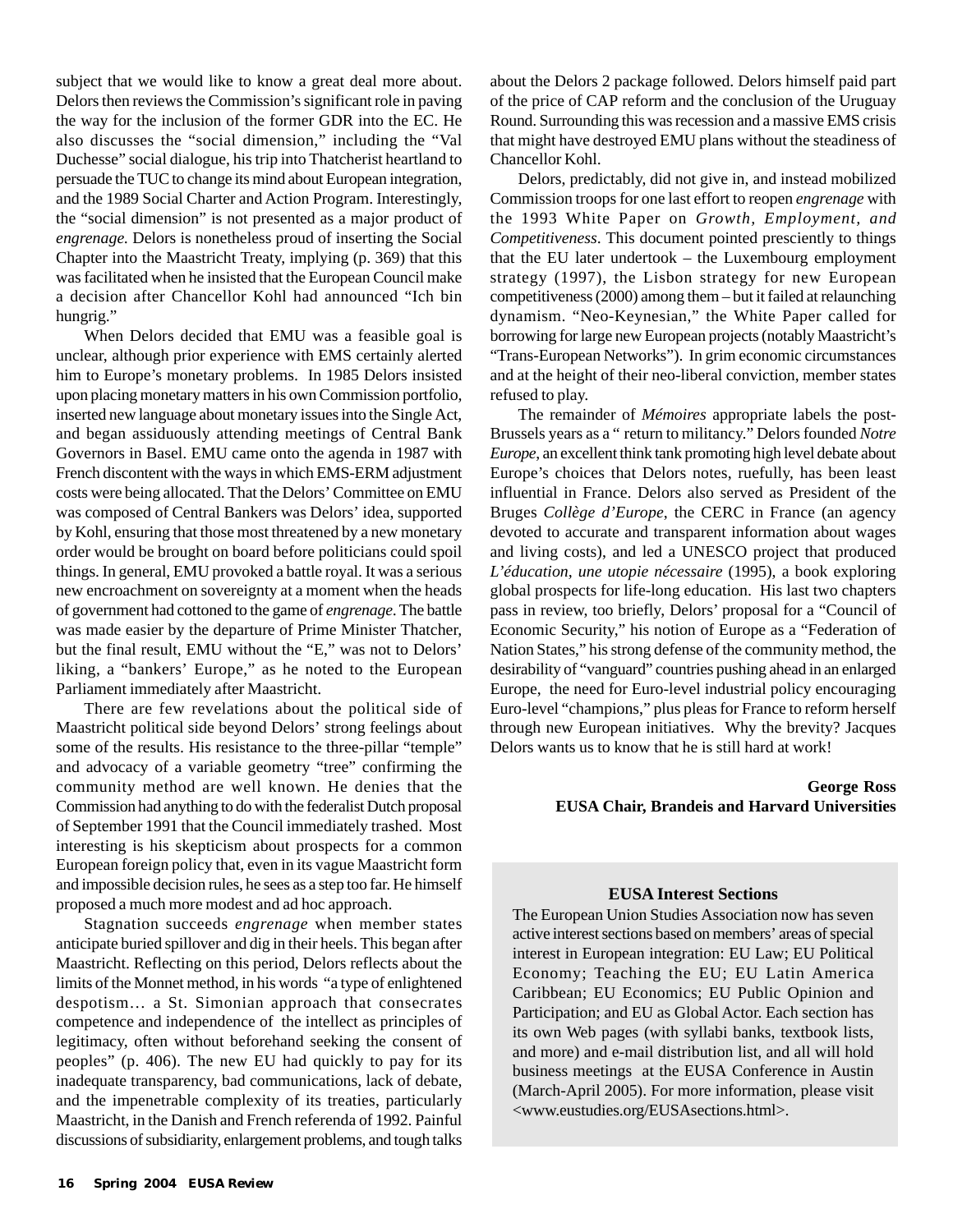subject that we would like to know a great deal more about. Delors then reviews the Commission's significant role in paving the way for the inclusion of the former GDR into the EC. He also discusses the "social dimension," including the "Val Duchesse" social dialogue, his trip into Thatcherist heartland to persuade the TUC to change its mind about European integration, and the 1989 Social Charter and Action Program. Interestingly, the "social dimension" is not presented as a major product of *engrenage.* Delors is nonetheless proud of inserting the Social Chapter into the Maastricht Treaty, implying (p. 369) that this was facilitated when he insisted that the European Council make a decision after Chancellor Kohl had announced "Ich bin hungrig."

When Delors decided that EMU was a feasible goal is unclear, although prior experience with EMS certainly alerted him to Europe's monetary problems. In 1985 Delors insisted upon placing monetary matters in his own Commission portfolio, inserted new language about monetary issues into the Single Act, and began assiduously attending meetings of Central Bank Governors in Basel. EMU came onto the agenda in 1987 with French discontent with the ways in which EMS-ERM adjustment costs were being allocated. That the Delors' Committee on EMU was composed of Central Bankers was Delors' idea, supported by Kohl, ensuring that those most threatened by a new monetary order would be brought on board before politicians could spoil things. In general, EMU provoked a battle royal. It was a serious new encroachment on sovereignty at a moment when the heads of government had cottoned to the game of *engrenage*. The battle was made easier by the departure of Prime Minister Thatcher, but the final result, EMU without the "E," was not to Delors' liking, a "bankers' Europe," as he noted to the European Parliament immediately after Maastricht.

There are few revelations about the political side of Maastricht political side beyond Delors' strong feelings about some of the results. His resistance to the three-pillar "temple" and advocacy of a variable geometry "tree" confirming the community method are well known. He denies that the Commission had anything to do with the federalist Dutch proposal of September 1991 that the Council immediately trashed. Most interesting is his skepticism about prospects for a common European foreign policy that, even in its vague Maastricht form and impossible decision rules, he sees as a step too far. He himself proposed a much more modest and ad hoc approach.

Stagnation succeeds *engrenage* when member states anticipate buried spillover and dig in their heels. This began after Maastricht. Reflecting on this period, Delors reflects about the limits of the Monnet method, in his words "a type of enlightened despotism… a St. Simonian approach that consecrates competence and independence of the intellect as principles of legitimacy, often without beforehand seeking the consent of peoples" (p. 406). The new EU had quickly to pay for its inadequate transparency, bad communications, lack of debate, and the impenetrable complexity of its treaties, particularly Maastricht, in the Danish and French referenda of 1992. Painful discussions of subsidiarity, enlargement problems, and tough talks

about the Delors 2 package followed. Delors himself paid part of the price of CAP reform and the conclusion of the Uruguay Round. Surrounding this was recession and a massive EMS crisis that might have destroyed EMU plans without the steadiness of Chancellor Kohl.

Delors, predictably, did not give in, and instead mobilized Commission troops for one last effort to reopen *engrenage* with the 1993 White Paper on *Growth, Employment, and Competitiveness*. This document pointed presciently to things that the EU later undertook – the Luxembourg employment strategy (1997), the Lisbon strategy for new European competitiveness (2000) among them – but it failed at relaunching dynamism. "Neo-Keynesian," the White Paper called for borrowing for large new European projects (notably Maastricht's "Trans-European Networks"). In grim economic circumstances and at the height of their neo-liberal conviction, member states refused to play.

The remainder of *Mémoires* appropriate labels the post-Brussels years as a " return to militancy." Delors founded *Notre Europe*, an excellent think tank promoting high level debate about Europe's choices that Delors notes, ruefully, has been least influential in France. Delors also served as President of the Bruges *Collège d'Europe*, the CERC in France (an agency devoted to accurate and transparent information about wages and living costs), and led a UNESCO project that produced *L'éducation, une utopie nécessaire* (1995), a book exploring global prospects for life-long education. His last two chapters pass in review, too briefly, Delors' proposal for a "Council of Economic Security," his notion of Europe as a "Federation of Nation States," his strong defense of the community method, the desirability of "vanguard" countries pushing ahead in an enlarged Europe, the need for Euro-level industrial policy encouraging Euro-level "champions," plus pleas for France to reform herself through new European initiatives. Why the brevity? Jacques Delors wants us to know that he is still hard at work!

#### **George Ross EUSA Chair, Brandeis and Harvard Universities**

#### **EUSA Interest Sections**

The European Union Studies Association now has seven active interest sections based on members' areas of special interest in European integration: EU Law; EU Political Economy; Teaching the EU; EU Latin America Caribbean; EU Economics; EU Public Opinion and Participation; and EU as Global Actor. Each section has its own Web pages (with syllabi banks, textbook lists, and more) and e-mail distribution list, and all will hold business meetings at the EUSA Conference in Austin (March-April 2005). For more information, please visit <www.eustudies.org/EUSAsections.html>.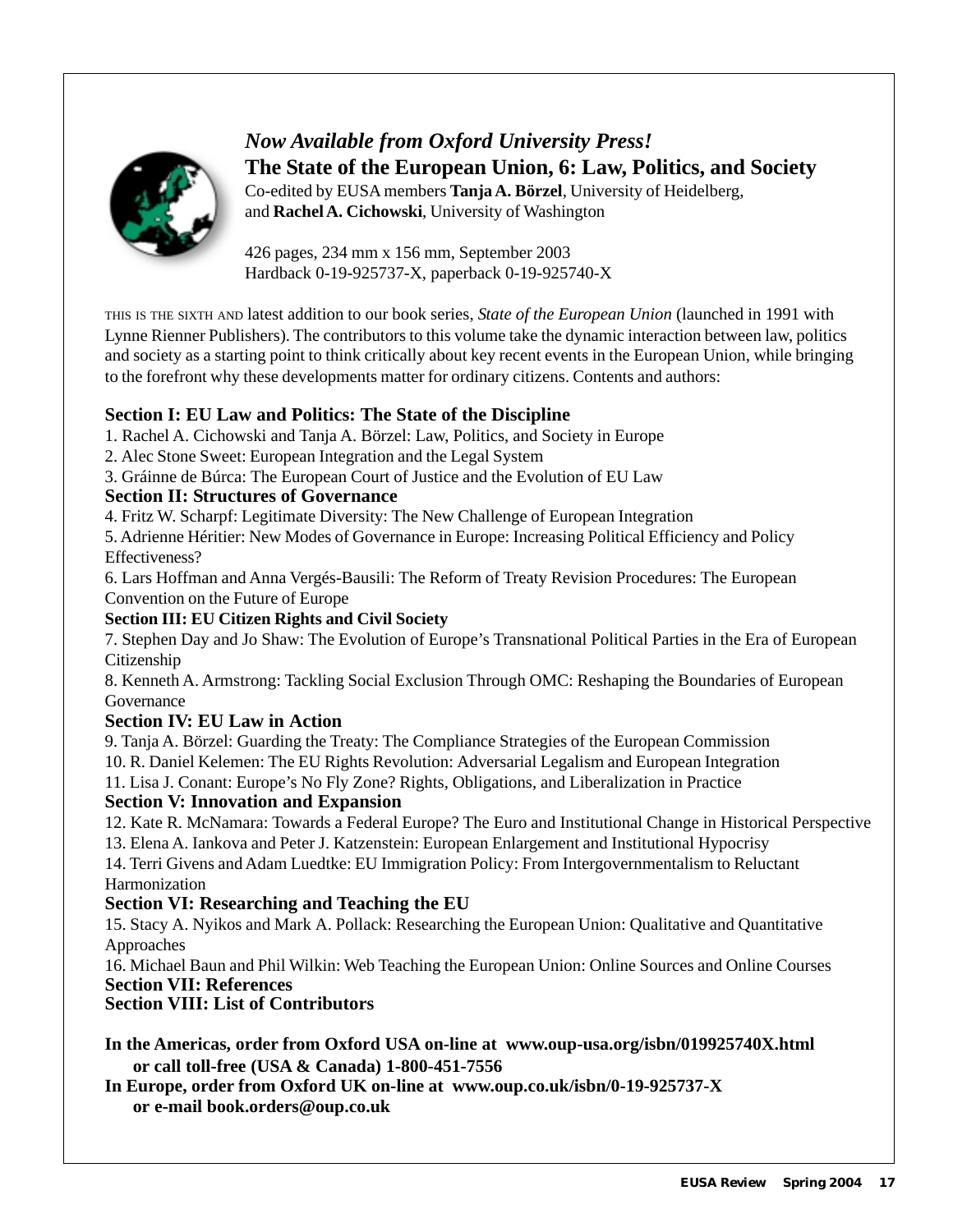

### *Now Available from Oxford University Press!* **The State of the European Union, 6: Law, Politics, and Society** Co-edited by EUSA members **Tanja A. Börzel**, University of Heidelberg,

and **Rachel A. Cichowski**, University of Washington

426 pages, 234 mm x 156 mm, September 2003 Hardback 0-19-925737-X, paperback 0-19-925740-X

THIS IS THE SIXTH AND latest addition to our book series, *State of the European Union* (launched in 1991 with Lynne Rienner Publishers). The contributors to this volume take the dynamic interaction between law, politics and society as a starting point to think critically about key recent events in the European Union, while bringing to the forefront why these developments matter for ordinary citizens. Contents and authors:

### **Section I: EU Law and Politics: The State of the Discipline**

- 1. Rachel A. Cichowski and Tanja A. Börzel: Law, Politics, and Society in Europe
- 2. Alec Stone Sweet: European Integration and the Legal System
- 3. Gráinne de Búrca: The European Court of Justice and the Evolution of EU Law

### **Section II: Structures of Governance**

4. Fritz W. Scharpf: Legitimate Diversity: The New Challenge of European Integration

5. Adrienne Héritier: New Modes of Governance in Europe: Increasing Political Efficiency and Policy Effectiveness?

6. Lars Hoffman and Anna Vergés-Bausili: The Reform of Treaty Revision Procedures: The European Convention on the Future of Europe

#### **Section III: EU Citizen Rights and Civil Society**

7. Stephen Day and Jo Shaw: The Evolution of Europe's Transnational Political Parties in the Era of European Citizenship

8. Kenneth A. Armstrong: Tackling Social Exclusion Through OMC: Reshaping the Boundaries of European Governance

### **Section IV: EU Law in Action**

9. Tanja A. Börzel: Guarding the Treaty: The Compliance Strategies of the European Commission 10. R. Daniel Kelemen: The EU Rights Revolution: Adversarial Legalism and European Integration

11. Lisa J. Conant: Europe's No Fly Zone? Rights, Obligations, and Liberalization in Practice

### **Section V: Innovation and Expansion**

12. Kate R. McNamara: Towards a Federal Europe? The Euro and Institutional Change in Historical Perspective

13. Elena A. Iankova and Peter J. Katzenstein: European Enlargement and Institutional Hypocrisy

14. Terri Givens and Adam Luedtke: EU Immigration Policy: From Intergovernmentalism to Reluctant Harmonization

### **Section VI: Researching and Teaching the EU**

15. Stacy A. Nyikos and Mark A. Pollack: Researching the European Union: Qualitative and Quantitative Approaches

16. Michael Baun and Phil Wilkin: Web Teaching the European Union: Online Sources and Online Courses **Section VII: References**

### **Section VIII: List of Contributors**

**In the Americas, order from Oxford USA on-line at www.oup-usa.org/isbn/019925740X.html or call toll-free (USA & Canada) 1-800-451-7556**

**In Europe, order from Oxford UK on-line at www.oup.co.uk/isbn/0-19-925737-X or e-mail book.orders@oup.co.uk**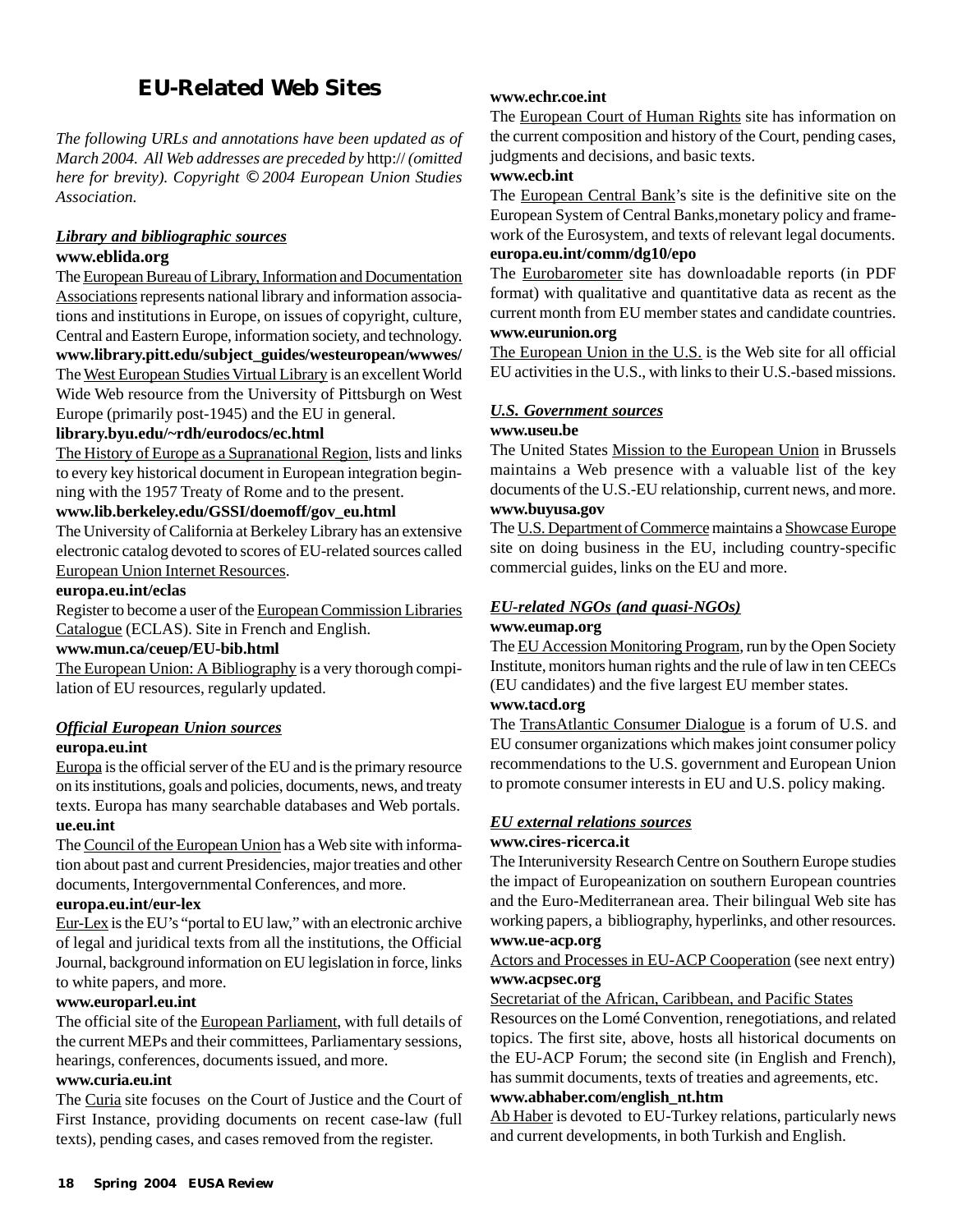### **EU-Related Web Sites**

*The following URLs and annotations have been updated as of March 2004. All Web addresses are preceded by* http:// *(omitted here for brevity). Copyright* © *2004 European Union Studies Association.*

#### *Library and bibliographic sources* **www.eblida.org**

The European Bureau of Library, Information and Documentation Associations represents national library and information associations and institutions in Europe, on issues of copyright, culture, Central and Eastern Europe, information society, and technology. **www.library.pitt.edu/subject\_guides/westeuropean/wwwes/** The West European Studies Virtual Library is an excellent World Wide Web resource from the University of Pittsburgh on West Europe (primarily post-1945) and the EU in general.

#### **library.byu.edu/~rdh/eurodocs/ec.html**

The History of Europe as a Supranational Region, lists and links to every key historical document in European integration beginning with the 1957 Treaty of Rome and to the present.

#### **www.lib.berkeley.edu/GSSI/doemoff/gov\_eu.html**

The University of California at Berkeley Library has an extensive electronic catalog devoted to scores of EU-related sources called European Union Internet Resources.

#### **europa.eu.int/eclas**

Register to become a user of the European Commission Libraries Catalogue (ECLAS). Site in French and English.

#### **www.mun.ca/ceuep/EU-bib.html**

The European Union: A Bibliography is a very thorough compilation of EU resources, regularly updated.

#### *Official European Union sources*

#### **europa.eu.int**

Europa is the official server of the EU and is the primary resource on its institutions, goals and policies, documents, news, and treaty texts. Europa has many searchable databases and Web portals. **ue.eu.int**

The Council of the European Union has a Web site with information about past and current Presidencies, major treaties and other documents, Intergovernmental Conferences, and more.

#### **europa.eu.int/eur-lex**

Eur-Lex is the EU's "portal to EU law," with an electronic archive of legal and juridical texts from all the institutions, the Official Journal, background information on EU legislation in force, links to white papers, and more.

#### **www.europarl.eu.int**

The official site of the European Parliament, with full details of the current MEPs and their committees, Parliamentary sessions, hearings, conferences, documents issued, and more.

#### **www.curia.eu.int**

The Curia site focuses on the Court of Justice and the Court of First Instance, providing documents on recent case-law (full texts), pending cases, and cases removed from the register.

#### **www.echr.coe.int**

The European Court of Human Rights site has information on the current composition and history of the Court, pending cases, judgments and decisions, and basic texts.

#### **www.ecb.int**

The European Central Bank's site is the definitive site on the European System of Central Banks,monetary policy and framework of the Eurosystem, and texts of relevant legal documents. **europa.eu.int/comm/dg10/epo**

The Eurobarometer site has downloadable reports (in PDF format) with qualitative and quantitative data as recent as the current month from EU member states and candidate countries. **www.eurunion.org**

The European Union in the U.S. is the Web site for all official EU activities in the U.S., with links to their U.S.-based missions.

#### *U.S. Government sources*

#### **www.useu.be**

The United States Mission to the European Union in Brussels maintains a Web presence with a valuable list of the key documents of the U.S.-EU relationship, current news, and more. **www.buyusa.gov**

The U.S. Department of Commerce maintains a Showcase Europe site on doing business in the EU, including country-specific commercial guides, links on the EU and more.

## *EU-related NGOs (and quasi-NGOs)*

### **www.eumap.org**

The EU Accession Monitoring Program, run by the Open Society Institute, monitors human rights and the rule of law in ten CEECs (EU candidates) and the five largest EU member states.

#### **www.tacd.org**

The TransAtlantic Consumer Dialogue is a forum of U.S. and EU consumer organizations which makes joint consumer policy recommendations to the U.S. government and European Union to promote consumer interests in EU and U.S. policy making.

#### *EU external relations sources*

#### **www.cires-ricerca.it**

The Interuniversity Research Centre on Southern Europe studies the impact of Europeanization on southern European countries and the Euro-Mediterranean area. Their bilingual Web site has working papers, a bibliography, hyperlinks, and other resources. **www.ue-acp.org**

Actors and Processes in EU-ACP Cooperation (see next entry) **www.acpsec.org**

Secretariat of the African, Caribbean, and Pacific States

Resources on the Lomé Convention, renegotiations, and related topics. The first site, above, hosts all historical documents on the EU-ACP Forum; the second site (in English and French), has summit documents, texts of treaties and agreements, etc.

#### **www.abhaber.com/english\_nt.htm**

Ab Haber is devoted to EU-Turkey relations, particularly news and current developments, in both Turkish and English.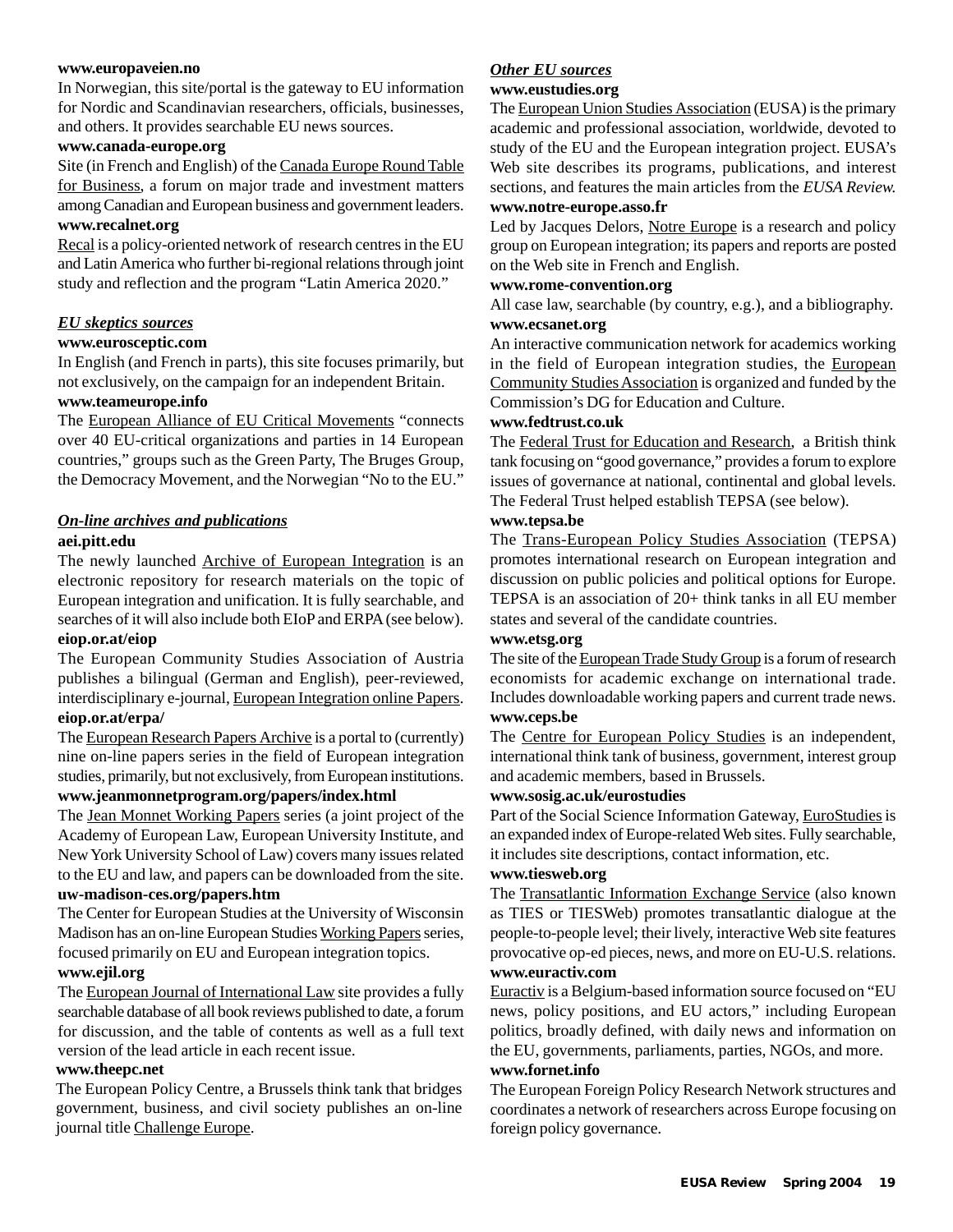#### **www.europaveien.no**

In Norwegian, this site/portal is the gateway to EU information for Nordic and Scandinavian researchers, officials, businesses, and others. It provides searchable EU news sources.

#### **www.canada-europe.org**

Site (in French and English) of the Canada Europe Round Table for Business, a forum on major trade and investment matters among Canadian and European business and government leaders. **www.recalnet.org**

#### Recal is a policy-oriented network of research centres in the EU and Latin America who further bi-regional relations through joint study and reflection and the program "Latin America 2020."

#### *EU skeptics sources*

#### **www.eurosceptic.com**

In English (and French in parts), this site focuses primarily, but not exclusively, on the campaign for an independent Britain. **www.teameurope.info**

The European Alliance of EU Critical Movements "connects over 40 EU-critical organizations and parties in 14 European countries," groups such as the Green Party, The Bruges Group, the Democracy Movement, and the Norwegian "No to the EU."

#### *On-line archives and publications*

#### **aei.pitt.edu**

The newly launched Archive of European Integration is an electronic repository for research materials on the topic of European integration and unification. It is fully searchable, and searches of it will also include both EIoP and ERPA (see below). **eiop.or.at/eiop**

The European Community Studies Association of Austria publishes a bilingual (German and English), peer-reviewed, interdisciplinary e-journal, European Integration online Papers. **eiop.or.at/erpa/**

The European Research Papers Archive is a portal to (currently) nine on-line papers series in the field of European integration studies, primarily, but not exclusively, from European institutions. **www.jeanmonnetprogram.org/papers/index.html**

The Jean Monnet Working Papers series (a joint project of the Academy of European Law, European University Institute, and New York University School of Law) covers many issues related to the EU and law, and papers can be downloaded from the site.

### **uw-madison-ces.org/papers.htm**

The Center for European Studies at the University of Wisconsin Madison has an on-line European Studies Working Papers series, focused primarily on EU and European integration topics.

#### **www.ejil.org**

The European Journal of International Law site provides a fully searchable database of all book reviews published to date, a forum for discussion, and the table of contents as well as a full text version of the lead article in each recent issue.

#### **www.theepc.net**

The European Policy Centre, a Brussels think tank that bridges government, business, and civil society publishes an on-line journal title Challenge Europe.

#### *Other EU sources*

#### **www.eustudies.org**

The European Union Studies Association (EUSA) is the primary academic and professional association, worldwide, devoted to study of the EU and the European integration project. EUSA's Web site describes its programs, publications, and interest sections, and features the main articles from the *EUSA Review.* **www.notre-europe.asso.fr**

Led by Jacques Delors, Notre Europe is a research and policy group on European integration; its papers and reports are posted on the Web site in French and English.

#### **www.rome-convention.org**

All case law, searchable (by country, e.g.), and a bibliography. **www.ecsanet.org**

An interactive communication network for academics working in the field of European integration studies, the European Community Studies Association is organized and funded by the Commission's DG for Education and Culture.

#### **www.fedtrust.co.uk**

The Federal Trust for Education and Research, a British think tank focusing on "good governance," provides a forum to explore issues of governance at national, continental and global levels. The Federal Trust helped establish TEPSA (see below).

#### **www.tepsa.be**

The Trans-European Policy Studies Association (TEPSA) promotes international research on European integration and discussion on public policies and political options for Europe. TEPSA is an association of 20+ think tanks in all EU member states and several of the candidate countries.

#### **www.etsg.org**

The site of the European Trade Study Group is a forum of research economists for academic exchange on international trade. Includes downloadable working papers and current trade news. **www.ceps.be**

The Centre for European Policy Studies is an independent, international think tank of business, government, interest group and academic members, based in Brussels.

#### **www.sosig.ac.uk/eurostudies**

Part of the Social Science Information Gateway, EuroStudies is an expanded index of Europe-related Web sites. Fully searchable, it includes site descriptions, contact information, etc.

#### **www.tiesweb.org**

The Transatlantic Information Exchange Service (also known as TIES or TIESWeb) promotes transatlantic dialogue at the people-to-people level; their lively, interactive Web site features provocative op-ed pieces, news, and more on EU-U.S. relations. **www.euractiv.com**

Euractiv is a Belgium-based information source focused on "EU news, policy positions, and EU actors," including European politics, broadly defined, with daily news and information on the EU, governments, parliaments, parties, NGOs, and more. **www.fornet.info**

The European Foreign Policy Research Network structures and coordinates a network of researchers across Europe focusing on foreign policy governance.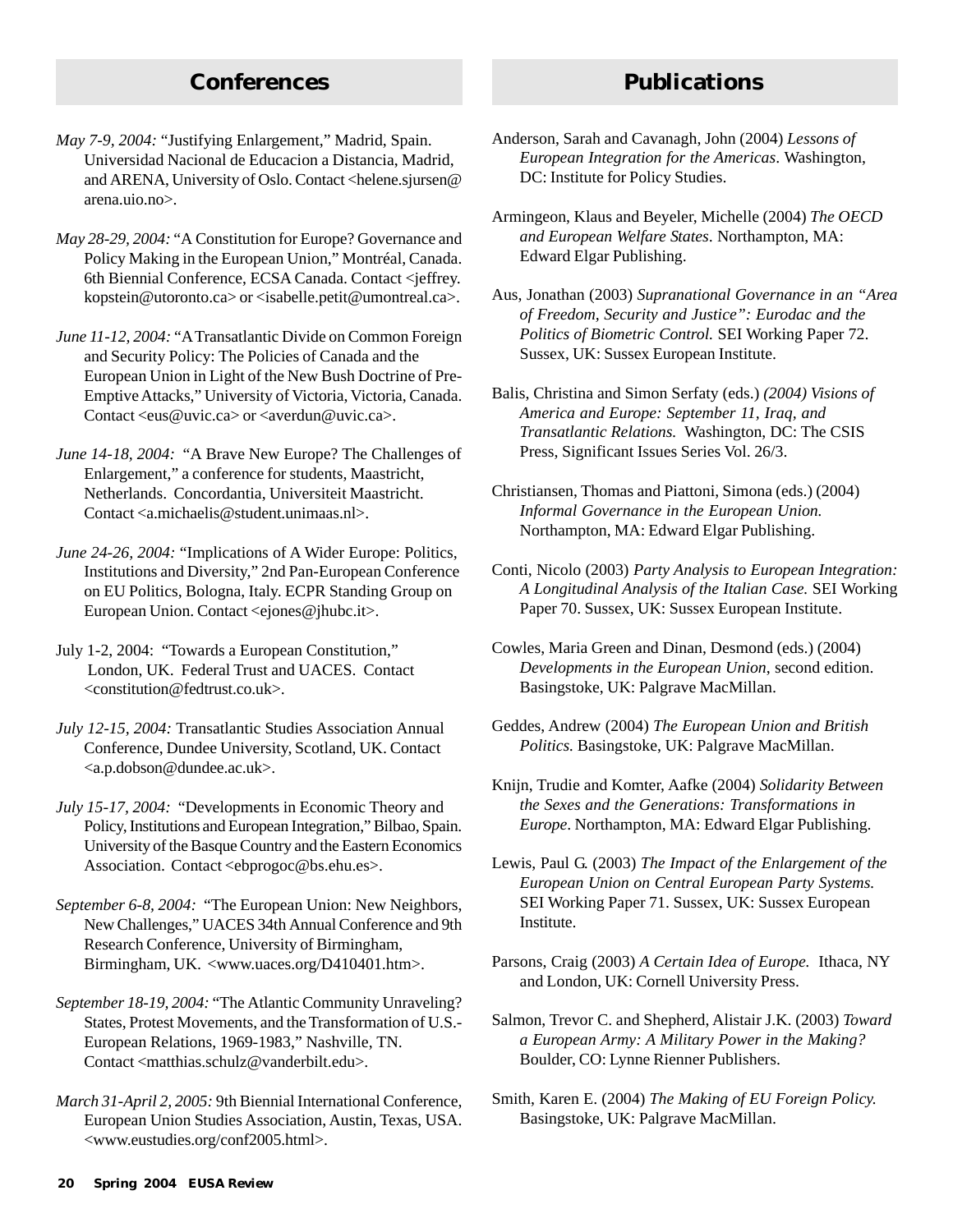### **Conferences Publications**

- *May 7-9, 2004:* "Justifying Enlargement," Madrid, Spain. Universidad Nacional de Educacion a Distancia, Madrid, and ARENA, University of Oslo. Contact <helene.sjursen@ arena.uio.no>.
- *May 28-29, 2004:* "A Constitution for Europe? Governance and Policy Making in the European Union," Montréal, Canada. 6th Biennial Conference, ECSA Canada. Contact <jeffrey. kopstein@utoronto.ca> or <isabelle.petit@umontreal.ca>.
- *June 11-12, 2004:* "A Transatlantic Divide on Common Foreign and Security Policy: The Policies of Canada and the European Union in Light of the New Bush Doctrine of Pre-Emptive Attacks," University of Victoria, Victoria, Canada. Contact  $\langle eus@uvic.ca\rangle$  or  $\langle avecdun@uvic.ca\rangle$ .
- *June 14-18, 2004:* "A Brave New Europe? The Challenges of Enlargement," a conference for students, Maastricht, Netherlands. Concordantia, Universiteit Maastricht. Contact <a.michaelis@student.unimaas.nl>.
- *June 24-26, 2004: "Implications of A Wider Europe: Politics,* Institutions and Diversity," 2nd Pan-European Conference on EU Politics, Bologna, Italy. ECPR Standing Group on European Union. Contact <ejones@jhubc.it>.
- July 1-2, 2004: "Towards a European Constitution," London, UK. Federal Trust and UACES. Contact <constitution@fedtrust.co.uk>.
- *July 12-15, 2004:* Transatlantic Studies Association Annual Conference, Dundee University, Scotland, UK. Contact <a.p.dobson@dundee.ac.uk>.
- *July 15-17, 2004:* "Developments in Economic Theory and Policy, Institutions and European Integration," Bilbao, Spain. University of the Basque Country and the Eastern Economics Association. Contact <ebprogoc@bs.ehu.es>.
- *September 6-8, 2004:* "The European Union: New Neighbors, New Challenges," UACES 34th Annual Conference and 9th Research Conference, University of Birmingham, Birmingham, UK. <www.uaces.org/D410401.htm>.
- *September 18-19, 2004:* "The Atlantic Community Unraveling? States, Protest Movements, and the Transformation of U.S.- European Relations, 1969-1983," Nashville, TN. Contact <matthias.schulz@vanderbilt.edu>.
- *March 31-April 2, 2005:* 9th Biennial International Conference, European Union Studies Association, Austin, Texas, USA. <www.eustudies.org/conf2005.html>.
- Anderson, Sarah and Cavanagh, John (2004) *Lessons of European Integration for the Americas*. Washington, DC: Institute for Policy Studies.
- Armingeon, Klaus and Beyeler, Michelle (2004) *The OECD and European Welfare States*. Northampton, MA: Edward Elgar Publishing.
- Aus, Jonathan (2003) *Supranational Governance in an "Area of Freedom, Security and Justice": Eurodac and the Politics of Biometric Control.* SEI Working Paper 72. Sussex, UK: Sussex European Institute.
- Balis, Christina and Simon Serfaty (eds.) *(2004) Visions of America and Europe: September 11, Iraq, and Transatlantic Relations.* Washington, DC: The CSIS Press, Significant Issues Series Vol. 26/3.
- Christiansen, Thomas and Piattoni, Simona (eds.) (2004) *Informal Governance in the European Union.* Northampton, MA: Edward Elgar Publishing.
- Conti, Nicolo (2003) *Party Analysis to European Integration: A Longitudinal Analysis of the Italian Case.* SEI Working Paper 70. Sussex, UK: Sussex European Institute.
- Cowles, Maria Green and Dinan, Desmond (eds.) (2004) *Developments in the European Union*, second edition. Basingstoke, UK: Palgrave MacMillan.
- Geddes, Andrew (2004) *The European Union and British Politics.* Basingstoke, UK: Palgrave MacMillan.
- Knijn, Trudie and Komter, Aafke (2004) *Solidarity Between the Sexes and the Generations: Transformations in Europe*. Northampton, MA: Edward Elgar Publishing.
- Lewis, Paul G. (2003) *The Impact of the Enlargement of the European Union on Central European Party Systems.* SEI Working Paper 71. Sussex, UK: Sussex European Institute.
- Parsons, Craig (2003) *A Certain Idea of Europe.* Ithaca, NY and London, UK: Cornell University Press.
- Salmon, Trevor C. and Shepherd, Alistair J.K. (2003) *Toward a European Army: A Military Power in the Making?* Boulder, CO: Lynne Rienner Publishers.
- Smith, Karen E. (2004) *The Making of EU Foreign Policy.* Basingstoke, UK: Palgrave MacMillan.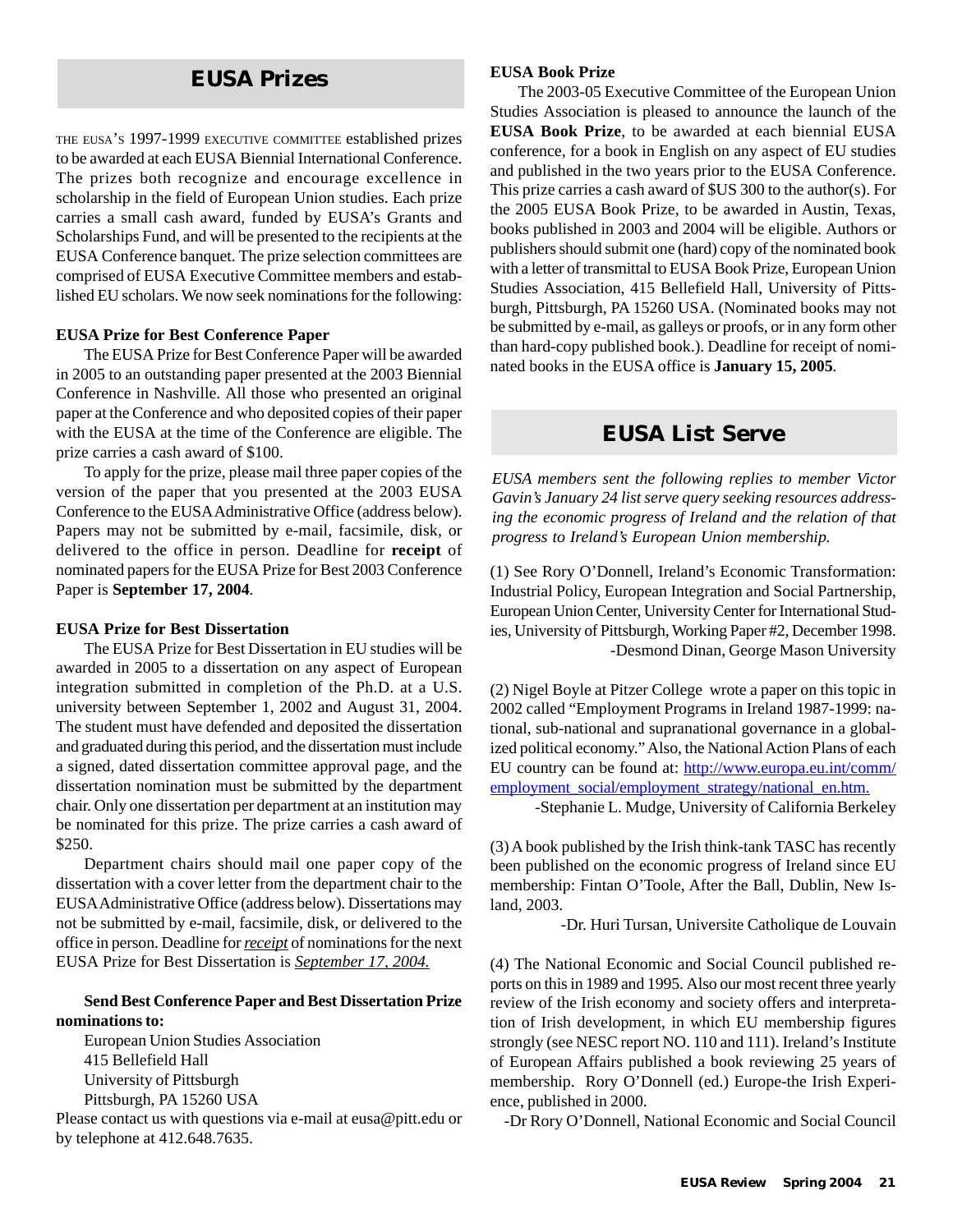### **EUSA Prizes**

THE EUSA'S 1997-1999 EXECUTIVE COMMITTEE established prizes to be awarded at each EUSA Biennial International Conference. The prizes both recognize and encourage excellence in scholarship in the field of European Union studies. Each prize carries a small cash award, funded by EUSA's Grants and Scholarships Fund, and will be presented to the recipients at the EUSA Conference banquet. The prize selection committees are comprised of EUSA Executive Committee members and established EU scholars. We now seek nominations for the following:

#### **EUSA Prize for Best Conference Paper**

The EUSA Prize for Best Conference Paper will be awarded in 2005 to an outstanding paper presented at the 2003 Biennial Conference in Nashville. All those who presented an original paper at the Conference and who deposited copies of their paper with the EUSA at the time of the Conference are eligible. The prize carries a cash award of \$100.

To apply for the prize, please mail three paper copies of the version of the paper that you presented at the 2003 EUSA Conference to the EUSA Administrative Office (address below). Papers may not be submitted by e-mail, facsimile, disk, or delivered to the office in person. Deadline for **receipt** of nominated papers for the EUSA Prize for Best 2003 Conference Paper is **September 17, 2004***.*

#### **EUSA Prize for Best Dissertation**

The EUSA Prize for Best Dissertation in EU studies will be awarded in 2005 to a dissertation on any aspect of European integration submitted in completion of the Ph.D. at a U.S. university between September 1, 2002 and August 31, 2004. The student must have defended and deposited the dissertation and graduated during this period, and the dissertation must include a signed, dated dissertation committee approval page, and the dissertation nomination must be submitted by the department chair. Only one dissertation per department at an institution may be nominated for this prize. The prize carries a cash award of \$250.

Department chairs should mail one paper copy of the dissertation with a cover letter from the department chair to the EUSA Administrative Office (address below). Dissertations may not be submitted by e-mail, facsimile, disk, or delivered to the office in person. Deadline for *receipt* of nominations for the next EUSA Prize for Best Dissertation is *September 17, 2004.*

#### **Send Best Conference Paper and Best Dissertation Prize nominations to:**

European Union Studies Association 415 Bellefield Hall University of Pittsburgh Pittsburgh, PA 15260 USA

Please contact us with questions via e-mail at eusa@pitt.edu or by telephone at 412.648.7635.

#### **EUSA Book Prize**

The 2003-05 Executive Committee of the European Union Studies Association is pleased to announce the launch of the **EUSA Book Prize**, to be awarded at each biennial EUSA conference, for a book in English on any aspect of EU studies and published in the two years prior to the EUSA Conference. This prize carries a cash award of \$US 300 to the author(s). For the 2005 EUSA Book Prize, to be awarded in Austin, Texas, books published in 2003 and 2004 will be eligible. Authors or publishers should submit one (hard) copy of the nominated book with a letter of transmittal to EUSA Book Prize, European Union Studies Association, 415 Bellefield Hall, University of Pittsburgh, Pittsburgh, PA 15260 USA. (Nominated books may not be submitted by e-mail, as galleys or proofs, or in any form other than hard-copy published book.). Deadline for receipt of nominated books in the EUSA office is **January 15, 2005***.*

### **EUSA List Serve**

*EUSA members sent the following replies to member Victor Gavin's January 24 list serve query seeking resources addressing the economic progress of Ireland and the relation of that progress to Ireland's European Union membership.*

(1) See Rory O'Donnell, Ireland's Economic Transformation: Industrial Policy, European Integration and Social Partnership, European Union Center, University Center for International Studies, University of Pittsburgh, Working Paper #2, December 1998. -Desmond Dinan, George Mason University

(2) Nigel Boyle at Pitzer College wrote a paper on this topic in 2002 called "Employment Programs in Ireland 1987-1999: national, sub-national and supranational governance in a globalized political economy." Also, the National Action Plans of each EU country can be found at: http://www.europa.eu.int/comm/ employment\_social/employment\_strategy/national\_en.htm.

-Stephanie L. Mudge, University of California Berkeley

(3) A book published by the Irish think-tank TASC has recently been published on the economic progress of Ireland since EU membership: Fintan O'Toole, After the Ball, Dublin, New Island, 2003.

-Dr. Huri Tursan, Universite Catholique de Louvain

(4) The National Economic and Social Council published reports on this in 1989 and 1995. Also our most recent three yearly review of the Irish economy and society offers and interpretation of Irish development, in which EU membership figures strongly (see NESC report NO. 110 and 111). Ireland's Institute of European Affairs published a book reviewing 25 years of membership. Rory O'Donnell (ed.) Europe-the Irish Experience, published in 2000.

-Dr Rory O'Donnell, National Economic and Social Council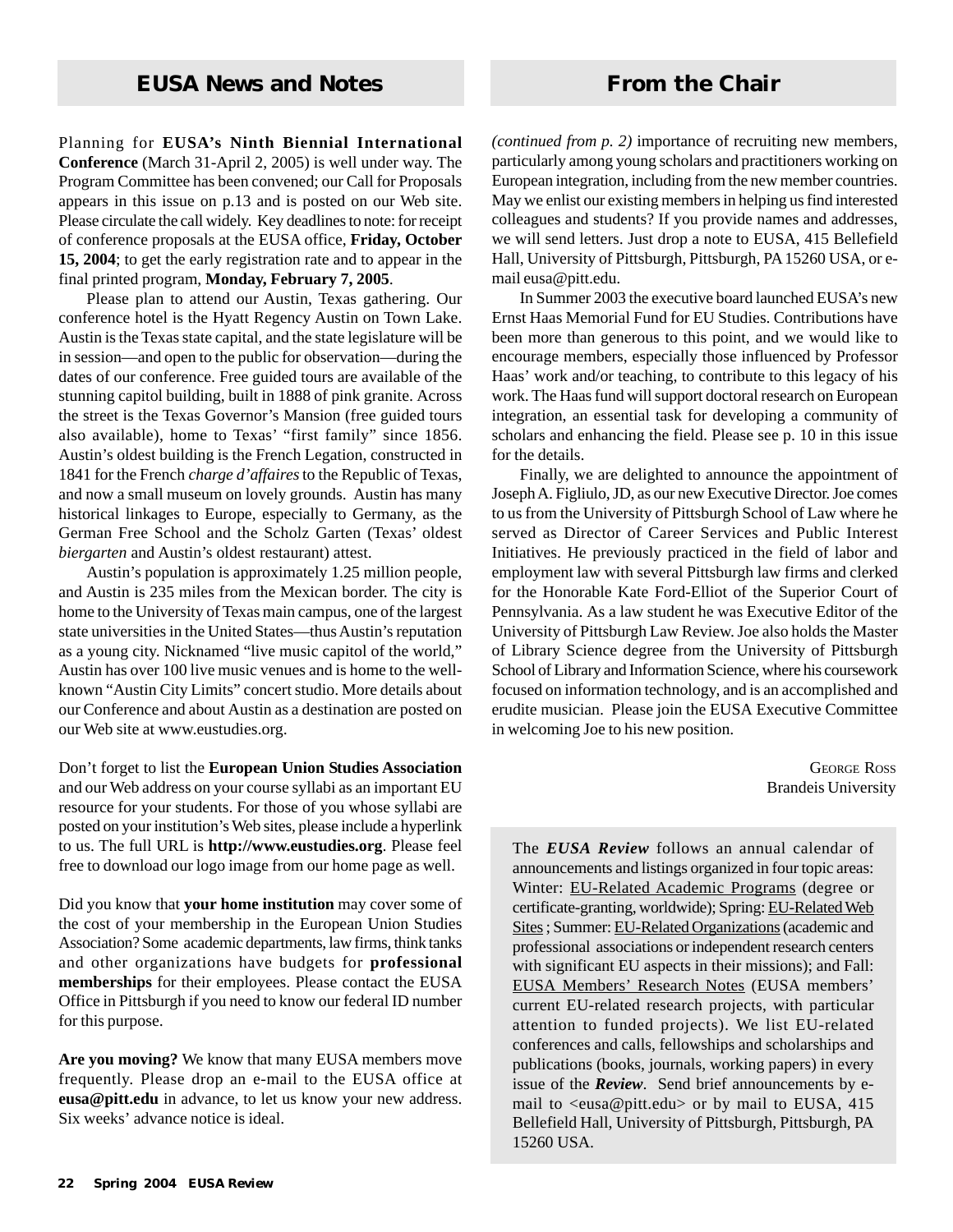Planning for **EUSA's Ninth Biennial International Conference** (March 31-April 2, 2005) is well under way. The Program Committee has been convened; our Call for Proposals appears in this issue on p.13 and is posted on our Web site. Please circulate the call widely. Key deadlines to note: for receipt of conference proposals at the EUSA office, **Friday, October 15, 2004**; to get the early registration rate and to appear in the final printed program, **Monday, February 7, 2005**.

Please plan to attend our Austin, Texas gathering. Our conference hotel is the Hyatt Regency Austin on Town Lake. Austin is the Texas state capital, and the state legislature will be in session—and open to the public for observation—during the dates of our conference. Free guided tours are available of the stunning capitol building, built in 1888 of pink granite. Across the street is the Texas Governor's Mansion (free guided tours also available), home to Texas' "first family" since 1856. Austin's oldest building is the French Legation, constructed in 1841 for the French *charge d'affaires* to the Republic of Texas, and now a small museum on lovely grounds. Austin has many historical linkages to Europe, especially to Germany, as the German Free School and the Scholz Garten (Texas' oldest *biergarten* and Austin's oldest restaurant) attest.

Austin's population is approximately 1.25 million people, and Austin is 235 miles from the Mexican border. The city is home to the University of Texas main campus, one of the largest state universities in the United States—thus Austin's reputation as a young city. Nicknamed "live music capitol of the world," Austin has over 100 live music venues and is home to the wellknown "Austin City Limits" concert studio. More details about our Conference and about Austin as a destination are posted on our Web site at www.eustudies.org.

Don't forget to list the **European Union Studies Association** and our Web address on your course syllabi as an important EU resource for your students. For those of you whose syllabi are posted on your institution's Web sites, please include a hyperlink to us. The full URL is **http://www.eustudies.org**. Please feel free to download our logo image from our home page as well.

Did you know that **your home institution** may cover some of the cost of your membership in the European Union Studies Association? Some academic departments, law firms, think tanks and other organizations have budgets for **professional memberships** for their employees. Please contact the EUSA Office in Pittsburgh if you need to know our federal ID number for this purpose.

**Are you moving?** We know that many EUSA members move frequently. Please drop an e-mail to the EUSA office at **eusa@pitt.edu** in advance, to let us know your new address. Six weeks' advance notice is ideal.

*(continued from p. 2)* importance of recruiting new members, particularly among young scholars and practitioners working on European integration, including from the new member countries. May we enlist our existing members in helping us find interested colleagues and students? If you provide names and addresses, we will send letters. Just drop a note to EUSA, 415 Bellefield Hall, University of Pittsburgh, Pittsburgh, PA 15260 USA, or email eusa@pitt.edu.

In Summer 2003 the executive board launched EUSA's new Ernst Haas Memorial Fund for EU Studies. Contributions have been more than generous to this point, and we would like to encourage members, especially those influenced by Professor Haas' work and/or teaching, to contribute to this legacy of his work. The Haas fund will support doctoral research on European integration, an essential task for developing a community of scholars and enhancing the field. Please see p. 10 in this issue for the details.

Finally, we are delighted to announce the appointment of Joseph A. Figliulo, JD, as our new Executive Director. Joe comes to us from the University of Pittsburgh School of Law where he served as Director of Career Services and Public Interest Initiatives. He previously practiced in the field of labor and employment law with several Pittsburgh law firms and clerked for the Honorable Kate Ford-Elliot of the Superior Court of Pennsylvania. As a law student he was Executive Editor of the University of Pittsburgh Law Review. Joe also holds the Master of Library Science degree from the University of Pittsburgh School of Library and Information Science, where his coursework focused on information technology, and is an accomplished and erudite musician. Please join the EUSA Executive Committee in welcoming Joe to his new position.

> GEORGE ROSS Brandeis University

The *EUSA Review* follows an annual calendar of announcements and listings organized in four topic areas: Winter: EU-Related Academic Programs (degree or certificate-granting, worldwide); Spring: EU-Related Web Sites ; Summer: EU-Related Organizations (academic and professional associations or independent research centers with significant EU aspects in their missions); and Fall: EUSA Members' Research Notes (EUSA members' current EU-related research projects, with particular attention to funded projects). We list EU-related conferences and calls, fellowships and scholarships and publications (books, journals, working papers) in every issue of the *Review*. Send brief announcements by email to <eusa@pitt.edu> or by mail to EUSA, 415 Bellefield Hall, University of Pittsburgh, Pittsburgh, PA 15260 USA.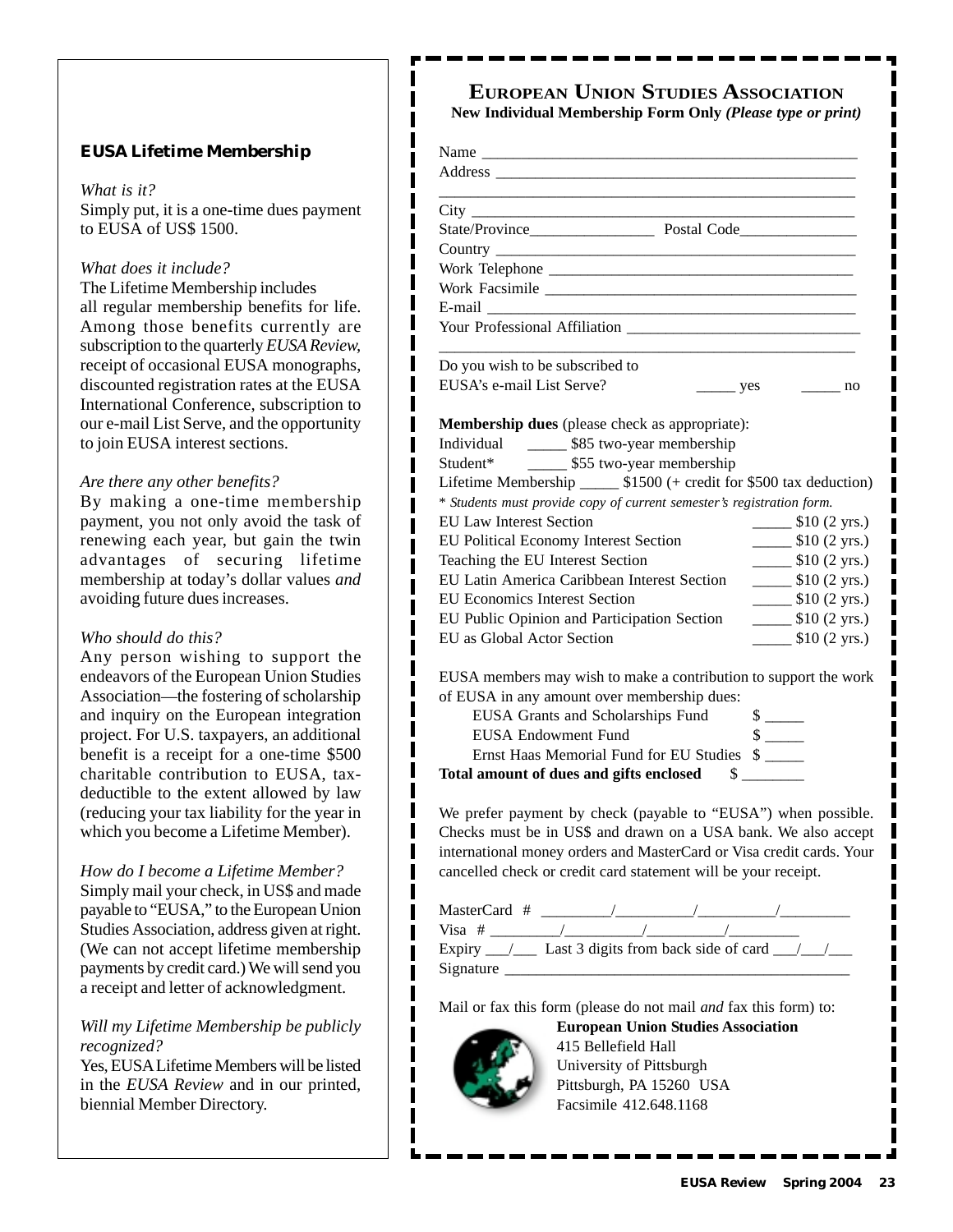#### **EUSA Lifetime Membership**

#### *What is it?*

Simply put, it is a one-time dues payment to EUSA of US\$ 1500.

ı

ı

I  $\blacksquare$ I ı I

I

#### *What does it include?*

The Lifetime Membership includes all regular membership benefits for life. Among those benefits currently are subscription to the quarterly *EUSA Review,* receipt of occasional EUSA monographs, discounted registration rates at the EUSA International Conference, subscription to our e-mail List Serve, and the opportunity to join EUSA interest sections.

#### *Are there any other benefits?*

By making a one-time membership payment, you not only avoid the task of renewing each year, but gain the twin advantages of securing lifetime membership at today's dollar values *and* avoiding future dues increases.

#### *Who should do this?*

Any person wishing to support the endeavors of the European Union Studies Association—the fostering of scholarship and inquiry on the European integration project. For U.S. taxpayers, an additional benefit is a receipt for a one-time \$500 charitable contribution to EUSA, taxdeductible to the extent allowed by law (reducing your tax liability for the year in which you become a Lifetime Member).

*How do I become a Lifetime Member?* Simply mail your check, in US\$ and made payable to "EUSA," to the European Union Studies Association, address given at right. (We can not accept lifetime membership payments by credit card.) We will send you a receipt and letter of acknowledgment.

#### *Will my Lifetime Membership be publicly recognized?*

Yes, EUSA Lifetime Members will be listed in the *EUSA Review* and in our printed, biennial Member Directory.

### **EUROPEAN UNION STUDIES ASSOCIATION**

**New Individual Membership Form Only** *(Please type or print)*

| Work Facsimile                                                        |                    |                                             |
|-----------------------------------------------------------------------|--------------------|---------------------------------------------|
|                                                                       |                    |                                             |
| Your Professional Affiliation                                         |                    |                                             |
| Do you wish to be subscribed to                                       |                    |                                             |
| EUSA's e-mail List Serve?                                             | $\frac{\ }{2}$ yes | $\frac{1}{2}$ no                            |
|                                                                       |                    |                                             |
| Membership dues (please check as appropriate):                        |                    |                                             |
| Individual ________ \$85 two-year membership                          |                    |                                             |
| Student* ________ \$55 two-year membership                            |                    |                                             |
| Lifetime Membership _______ \$1500 (+ credit for \$500 tax deduction) |                    |                                             |
| * Students must provide copy of current semester's registration form. |                    |                                             |
| <b>EU Law Interest Section</b>                                        |                    | $\frac{\text{I}}{\text{I}}$ \$10 (2 yrs.)   |
| EU Political Economy Interest Section                                 |                    | $\frac{\text{I}}{\text{I}}$ \$10 (2 yrs.)   |
| Teaching the EU Interest Section                                      |                    | $\frac{\text{I}}{\text{I}}(2 \text{ yrs.})$ |
| EU Latin America Caribbean Interest Section                           |                    | $\frac{\text{I}}{\text{I}}(2 \text{ yrs.})$ |
| <b>EU Economics Interest Section</b>                                  |                    | $\frac{\text{I}}{\text{I}}(2 \text{ yrs.})$ |
| EU Public Opinion and Participation Section                           |                    | $\frac{\text{I}}{\text{I}}(2 \text{ yrs.})$ |
| EU as Global Actor Section                                            |                    | $\frac{\text{I}}{\text{I}}(2 \text{ yrs.})$ |
| EUSA members may wish to make a contribution to support the work      |                    |                                             |
| of EUSA in any amount over membership dues:                           |                    |                                             |
| EUSA Grants and Scholarships Fund                                     |                    |                                             |
| <b>EUSA Endowment Fund</b>                                            |                    |                                             |
| Ernst Haas Memorial Fund for EU Studies \$                            |                    |                                             |
| Total amount of dues and gifts enclosed \$                            |                    |                                             |
| We prefer payment by check (payable to "EUSA") when possible.         |                    |                                             |
| Checks must be in US\$ and drawn on a USA bank. We also accept        |                    |                                             |
| international money orders and MasterCard or Visa credit cards. Your  |                    |                                             |
| cancelled check or credit card statement will be your receipt.        |                    |                                             |
|                                                                       |                    |                                             |
|                                                                       |                    |                                             |

| MasterCard # |                                      |  |  |
|--------------|--------------------------------------|--|--|
| $Visa$ #     |                                      |  |  |
| Expiry       | Last 3 digits from back side of card |  |  |
| Signature    |                                      |  |  |

Mail or fax this form (please do not mail *and* fax this form) to:



415 Bellefield Hall University of Pittsburgh Pittsburgh, PA 15260 USA Facsimile 412.648.1168

**European Union Studies Association**